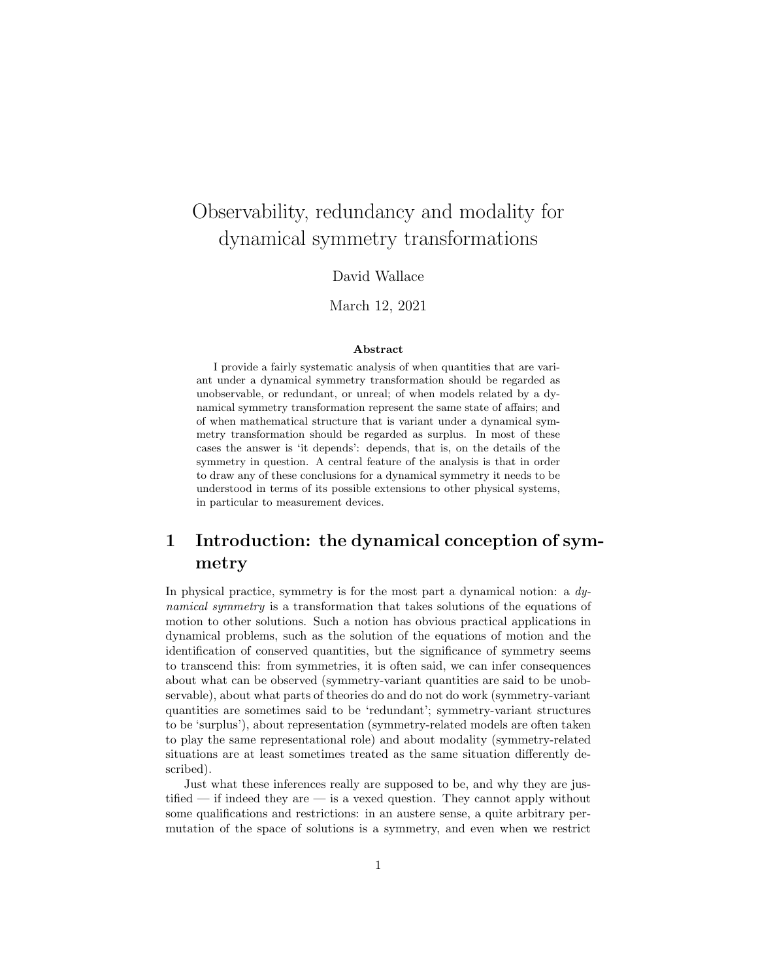# Observability, redundancy and modality for dynamical symmetry transformations

#### David Wallace

#### March 12, 2021

#### Abstract

I provide a fairly systematic analysis of when quantities that are variant under a dynamical symmetry transformation should be regarded as unobservable, or redundant, or unreal; of when models related by a dynamical symmetry transformation represent the same state of affairs; and of when mathematical structure that is variant under a dynamical symmetry transformation should be regarded as surplus. In most of these cases the answer is 'it depends': depends, that is, on the details of the symmetry in question. A central feature of the analysis is that in order to draw any of these conclusions for a dynamical symmetry it needs to be understood in terms of its possible extensions to other physical systems, in particular to measurement devices.

## 1 Introduction: the dynamical conception of symmetry

In physical practice, symmetry is for the most part a dynamical notion: a  $dy$ namical symmetry is a transformation that takes solutions of the equations of motion to other solutions. Such a notion has obvious practical applications in dynamical problems, such as the solution of the equations of motion and the identification of conserved quantities, but the significance of symmetry seems to transcend this: from symmetries, it is often said, we can infer consequences about what can be observed (symmetry-variant quantities are said to be unobservable), about what parts of theories do and do not do work (symmetry-variant quantities are sometimes said to be 'redundant'; symmetry-variant structures to be 'surplus'), about representation (symmetry-related models are often taken to play the same representational role) and about modality (symmetry-related situations are at least sometimes treated as the same situation differently described).

Just what these inferences really are supposed to be, and why they are justified — if indeed they are — is a vexed question. They cannot apply without some qualifications and restrictions: in an austere sense, a quite arbitrary permutation of the space of solutions is a symmetry, and even when we restrict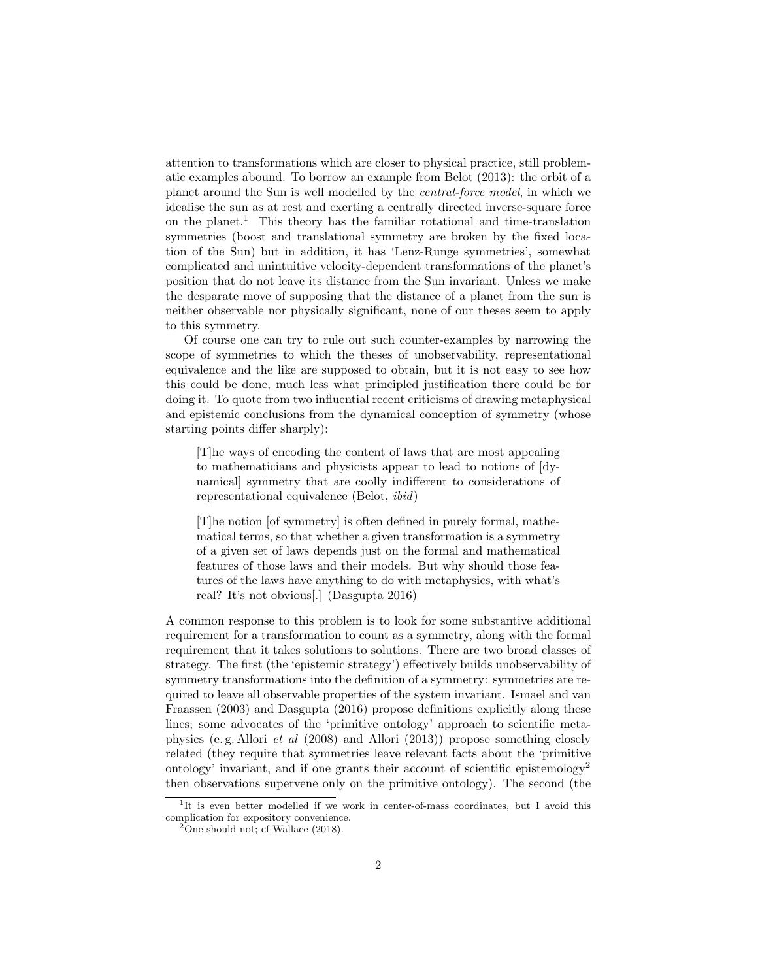attention to transformations which are closer to physical practice, still problematic examples abound. To borrow an example from Belot (2013): the orbit of a planet around the Sun is well modelled by the central-force model, in which we idealise the sun as at rest and exerting a centrally directed inverse-square force on the planet.<sup>1</sup> This theory has the familiar rotational and time-translation symmetries (boost and translational symmetry are broken by the fixed location of the Sun) but in addition, it has 'Lenz-Runge symmetries', somewhat complicated and unintuitive velocity-dependent transformations of the planet's position that do not leave its distance from the Sun invariant. Unless we make the desparate move of supposing that the distance of a planet from the sun is neither observable nor physically significant, none of our theses seem to apply to this symmetry.

Of course one can try to rule out such counter-examples by narrowing the scope of symmetries to which the theses of unobservability, representational equivalence and the like are supposed to obtain, but it is not easy to see how this could be done, much less what principled justification there could be for doing it. To quote from two influential recent criticisms of drawing metaphysical and epistemic conclusions from the dynamical conception of symmetry (whose starting points differ sharply):

[T]he ways of encoding the content of laws that are most appealing to mathematicians and physicists appear to lead to notions of [dynamical] symmetry that are coolly indifferent to considerations of representational equivalence (Belot, ibid)

[T]he notion [of symmetry] is often defined in purely formal, mathematical terms, so that whether a given transformation is a symmetry of a given set of laws depends just on the formal and mathematical features of those laws and their models. But why should those features of the laws have anything to do with metaphysics, with what's real? It's not obvious[.] (Dasgupta 2016)

A common response to this problem is to look for some substantive additional requirement for a transformation to count as a symmetry, along with the formal requirement that it takes solutions to solutions. There are two broad classes of strategy. The first (the 'epistemic strategy') effectively builds unobservability of symmetry transformations into the definition of a symmetry: symmetries are required to leave all observable properties of the system invariant. Ismael and van Fraassen (2003) and Dasgupta (2016) propose definitions explicitly along these lines; some advocates of the 'primitive ontology' approach to scientific metaphysics (e. g. Allori et al (2008) and Allori (2013)) propose something closely related (they require that symmetries leave relevant facts about the 'primitive ontology' invariant, and if one grants their account of scientific epistemology<sup>2</sup> then observations supervene only on the primitive ontology). The second (the

<sup>&</sup>lt;sup>1</sup>It is even better modelled if we work in center-of-mass coordinates, but I avoid this complication for expository convenience.

 $^{2}$ One should not; cf Wallace (2018).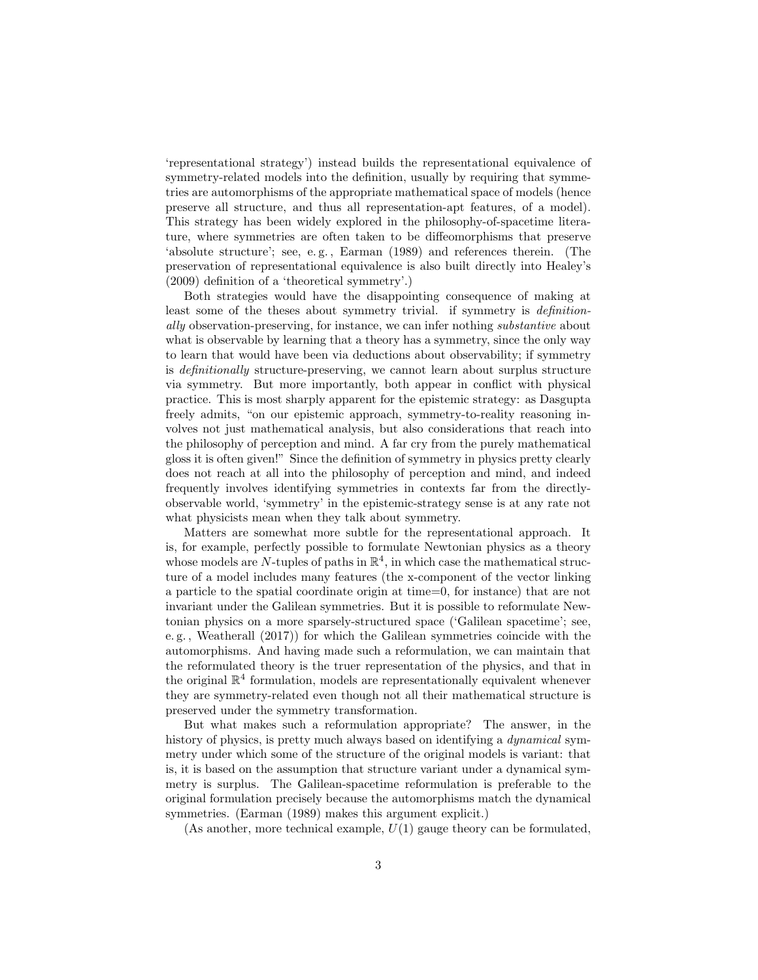'representational strategy') instead builds the representational equivalence of symmetry-related models into the definition, usually by requiring that symmetries are automorphisms of the appropriate mathematical space of models (hence preserve all structure, and thus all representation-apt features, of a model). This strategy has been widely explored in the philosophy-of-spacetime literature, where symmetries are often taken to be diffeomorphisms that preserve 'absolute structure'; see, e. g. , Earman (1989) and references therein. (The preservation of representational equivalence is also built directly into Healey's (2009) definition of a 'theoretical symmetry'.)

Both strategies would have the disappointing consequence of making at least some of the theses about symmetry trivial. if symmetry is *definition*ally observation-preserving, for instance, we can infer nothing substantive about what is observable by learning that a theory has a symmetry, since the only way to learn that would have been via deductions about observability; if symmetry is definitionally structure-preserving, we cannot learn about surplus structure via symmetry. But more importantly, both appear in conflict with physical practice. This is most sharply apparent for the epistemic strategy: as Dasgupta freely admits, "on our epistemic approach, symmetry-to-reality reasoning involves not just mathematical analysis, but also considerations that reach into the philosophy of perception and mind. A far cry from the purely mathematical gloss it is often given!" Since the definition of symmetry in physics pretty clearly does not reach at all into the philosophy of perception and mind, and indeed frequently involves identifying symmetries in contexts far from the directlyobservable world, 'symmetry' in the epistemic-strategy sense is at any rate not what physicists mean when they talk about symmetry.

Matters are somewhat more subtle for the representational approach. It is, for example, perfectly possible to formulate Newtonian physics as a theory whose models are N-tuples of paths in  $\mathbb{R}^4$ , in which case the mathematical structure of a model includes many features (the x-component of the vector linking a particle to the spatial coordinate origin at time=0, for instance) that are not invariant under the Galilean symmetries. But it is possible to reformulate Newtonian physics on a more sparsely-structured space ('Galilean spacetime'; see, e. g. , Weatherall (2017)) for which the Galilean symmetries coincide with the automorphisms. And having made such a reformulation, we can maintain that the reformulated theory is the truer representation of the physics, and that in the original  $\mathbb{R}^4$  formulation, models are representationally equivalent whenever they are symmetry-related even though not all their mathematical structure is preserved under the symmetry transformation.

But what makes such a reformulation appropriate? The answer, in the history of physics, is pretty much always based on identifying a *dynamical* symmetry under which some of the structure of the original models is variant: that is, it is based on the assumption that structure variant under a dynamical symmetry is surplus. The Galilean-spacetime reformulation is preferable to the original formulation precisely because the automorphisms match the dynamical symmetries. (Earman (1989) makes this argument explicit.)

(As another, more technical example,  $U(1)$  gauge theory can be formulated,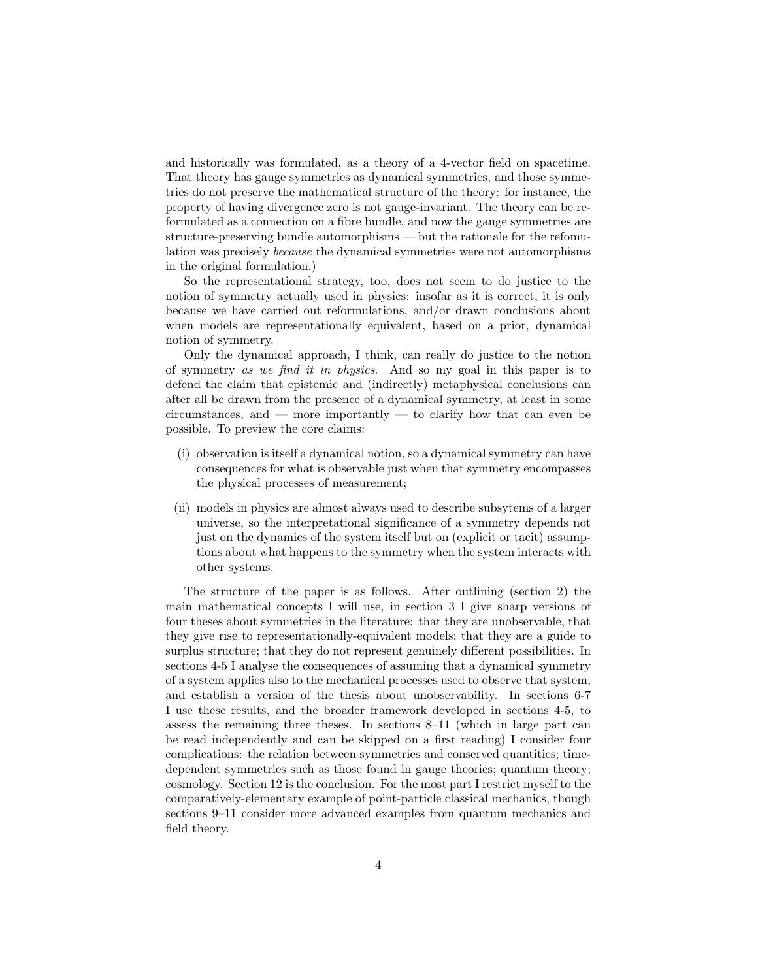and historically was formulated, as a theory of a 4-vector field on spacetime. That theory has gauge symmetries as dynamical symmetries, and those symmetries do not preserve the mathematical structure of the theory: for instance, the property of having divergence zero is not gauge-invariant. The theory can be reformulated as a connection on a fibre bundle, and now the gauge symmetries are structure-preserving bundle automorphisms — but the rationale for the refomulation was precisely because the dynamical symmetries were not automorphisms in the original formulation.)

So the representational strategy, too, does not seem to do justice to the notion of symmetry actually used in physics: insofar as it is correct, it is only because we have carried out reformulations, and/or drawn conclusions about when models are representationally equivalent, based on a prior, dynamical notion of symmetry.

Only the dynamical approach, I think, can really do justice to the notion of symmetry as we find it in physics. And so my goal in this paper is to defend the claim that epistemic and (indirectly) metaphysical conclusions can after all be drawn from the presence of a dynamical symmetry, at least in some circumstances, and — more importantly — to clarify how that can even be possible. To preview the core claims:

- (i) observation is itself a dynamical notion, so a dynamical symmetry can have consequences for what is observable just when that symmetry encompasses the physical processes of measurement;
- (ii) models in physics are almost always used to describe subsytems of a larger universe, so the interpretational significance of a symmetry depends not just on the dynamics of the system itself but on (explicit or tacit) assumptions about what happens to the symmetry when the system interacts with other systems.

The structure of the paper is as follows. After outlining (section 2) the main mathematical concepts I will use, in section 3 I give sharp versions of four theses about symmetries in the literature: that they are unobservable, that they give rise to representationally-equivalent models; that they are a guide to surplus structure; that they do not represent genuinely different possibilities. In sections 4-5 I analyse the consequences of assuming that a dynamical symmetry of a system applies also to the mechanical processes used to observe that system, and establish a version of the thesis about unobservability. In sections 6-7 I use these results, and the broader framework developed in sections 4-5, to assess the remaining three theses. In sections 8–11 (which in large part can be read independently and can be skipped on a first reading) I consider four complications: the relation between symmetries and conserved quantities; timedependent symmetries such as those found in gauge theories; quantum theory; cosmology. Section 12 is the conclusion. For the most part I restrict myself to the comparatively-elementary example of point-particle classical mechanics, though sections 9–11 consider more advanced examples from quantum mechanics and field theory.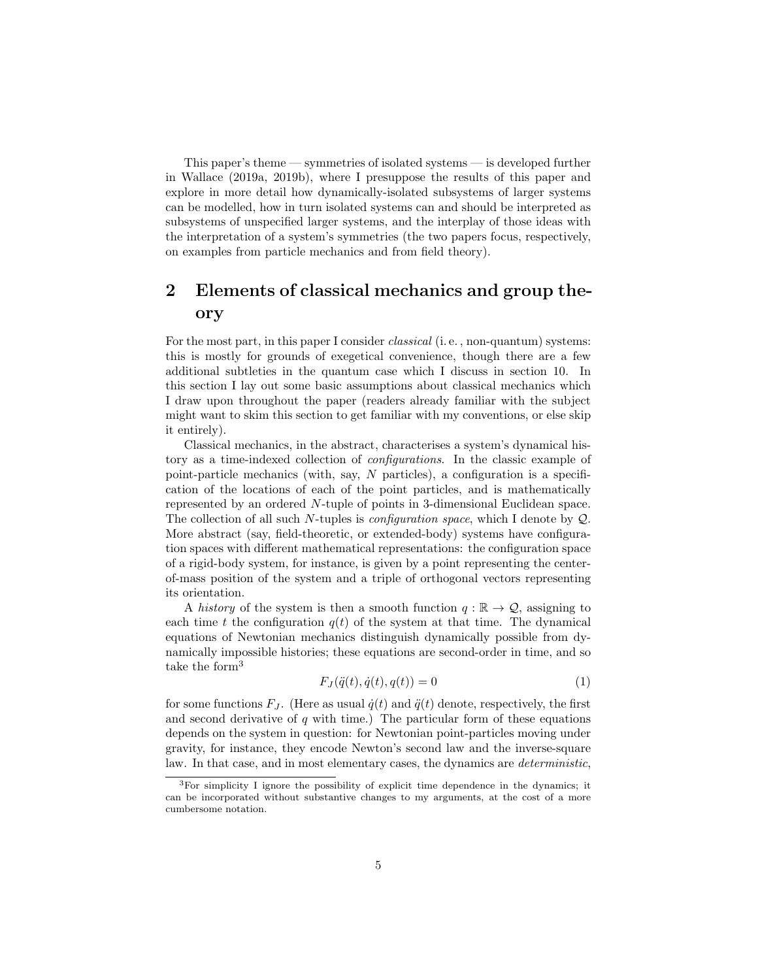This paper's theme — symmetries of isolated systems — is developed further in Wallace (2019a, 2019b), where I presuppose the results of this paper and explore in more detail how dynamically-isolated subsystems of larger systems can be modelled, how in turn isolated systems can and should be interpreted as subsystems of unspecified larger systems, and the interplay of those ideas with the interpretation of a system's symmetries (the two papers focus, respectively, on examples from particle mechanics and from field theory).

## 2 Elements of classical mechanics and group theory

For the most part, in this paper I consider *classical* (i.e., non-quantum) systems: this is mostly for grounds of exegetical convenience, though there are a few additional subtleties in the quantum case which I discuss in section 10. In this section I lay out some basic assumptions about classical mechanics which I draw upon throughout the paper (readers already familiar with the subject might want to skim this section to get familiar with my conventions, or else skip it entirely).

Classical mechanics, in the abstract, characterises a system's dynamical history as a time-indexed collection of configurations. In the classic example of point-particle mechanics (with, say, N particles), a configuration is a specification of the locations of each of the point particles, and is mathematically represented by an ordered N-tuple of points in 3-dimensional Euclidean space. The collection of all such N-tuples is configuration space, which I denote by Q. More abstract (say, field-theoretic, or extended-body) systems have configuration spaces with different mathematical representations: the configuration space of a rigid-body system, for instance, is given by a point representing the centerof-mass position of the system and a triple of orthogonal vectors representing its orientation.

A history of the system is then a smooth function  $q : \mathbb{R} \to \mathcal{Q}$ , assigning to each time t the configuration  $q(t)$  of the system at that time. The dynamical equations of Newtonian mechanics distinguish dynamically possible from dynamically impossible histories; these equations are second-order in time, and so take the form<sup>3</sup>

$$
F_J(\ddot{q}(t), \dot{q}(t), q(t)) = 0\tag{1}
$$

for some functions  $F_J$ . (Here as usual  $\dot{q}(t)$  and  $\ddot{q}(t)$  denote, respectively, the first and second derivative of  $q$  with time.) The particular form of these equations depends on the system in question: for Newtonian point-particles moving under gravity, for instance, they encode Newton's second law and the inverse-square law. In that case, and in most elementary cases, the dynamics are deterministic,

<sup>3</sup>For simplicity I ignore the possibility of explicit time dependence in the dynamics; it can be incorporated without substantive changes to my arguments, at the cost of a more cumbersome notation.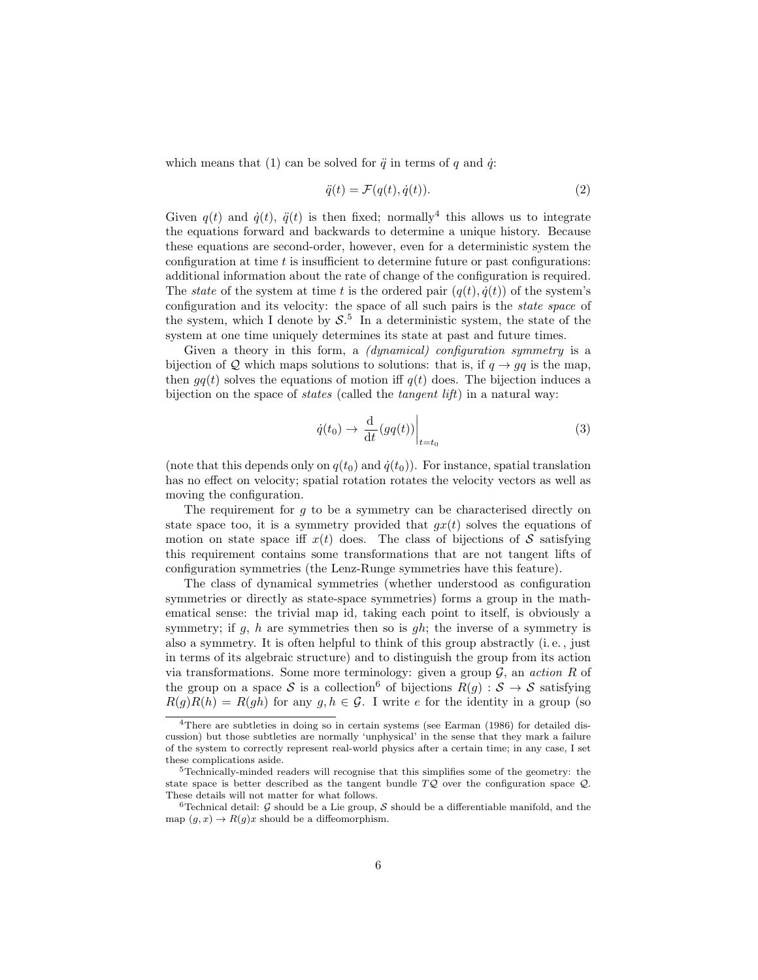which means that (1) can be solved for  $\ddot{q}$  in terms of q and  $\dot{q}$ :

$$
\ddot{q}(t) = \mathcal{F}(q(t), \dot{q}(t)).\tag{2}
$$

Given  $q(t)$  and  $\dot{q}(t)$ ,  $\ddot{q}(t)$  is then fixed; normally<sup>4</sup> this allows us to integrate the equations forward and backwards to determine a unique history. Because these equations are second-order, however, even for a deterministic system the configuration at time  $t$  is insufficient to determine future or past configurations: additional information about the rate of change of the configuration is required. The *state* of the system at time t is the ordered pair  $(q(t), \dot{q}(t))$  of the system's configuration and its velocity: the space of all such pairs is the state space of the system, which I denote by  $S^5$ . In a deterministic system, the state of the system at one time uniquely determines its state at past and future times.

Given a theory in this form, a *(dynamical)* configuration symmetry is a bijection of Q which maps solutions to solutions: that is, if  $q \rightarrow qq$  is the map, then  $qq(t)$  solves the equations of motion iff  $q(t)$  does. The bijection induces a bijection on the space of states (called the tangent lift) in a natural way:

$$
\dot{q}(t_0) \to \left. \frac{\mathrm{d}}{\mathrm{d}t} (gq(t)) \right|_{t=t_0} \tag{3}
$$

(note that this depends only on  $q(t_0)$  and  $\dot{q}(t_0)$ ). For instance, spatial translation has no effect on velocity; spatial rotation rotates the velocity vectors as well as moving the configuration.

The requirement for  $g$  to be a symmetry can be characterised directly on state space too, it is a symmetry provided that  $gx(t)$  solves the equations of motion on state space iff  $x(t)$  does. The class of bijections of S satisfying this requirement contains some transformations that are not tangent lifts of configuration symmetries (the Lenz-Runge symmetries have this feature).

The class of dynamical symmetries (whether understood as configuration symmetries or directly as state-space symmetries) forms a group in the mathematical sense: the trivial map id, taking each point to itself, is obviously a symmetry; if q, h are symmetries then so is qh; the inverse of a symmetry is also a symmetry. It is often helpful to think of this group abstractly (i. e. , just in terms of its algebraic structure) and to distinguish the group from its action via transformations. Some more terminology: given a group  $\mathcal{G}$ , an action R of the group on a space S is a collection<sup>6</sup> of bijections  $R(g) : S \to S$  satisfying  $R(g)R(h) = R(gh)$  for any  $g, h \in \mathcal{G}$ . I write e for the identity in a group (so

<sup>4</sup>There are subtleties in doing so in certain systems (see Earman (1986) for detailed discussion) but those subtleties are normally 'unphysical' in the sense that they mark a failure of the system to correctly represent real-world physics after a certain time; in any case, I set these complications aside.

<sup>5</sup>Technically-minded readers will recognise that this simplifies some of the geometry: the state space is better described as the tangent bundle  $TQ$  over the configuration space  $Q$ . These details will not matter for what follows.

<sup>&</sup>lt;sup>6</sup>Technical detail: G should be a Lie group, S should be a differentiable manifold, and the map  $(g, x) \to R(g)x$  should be a diffeomorphism.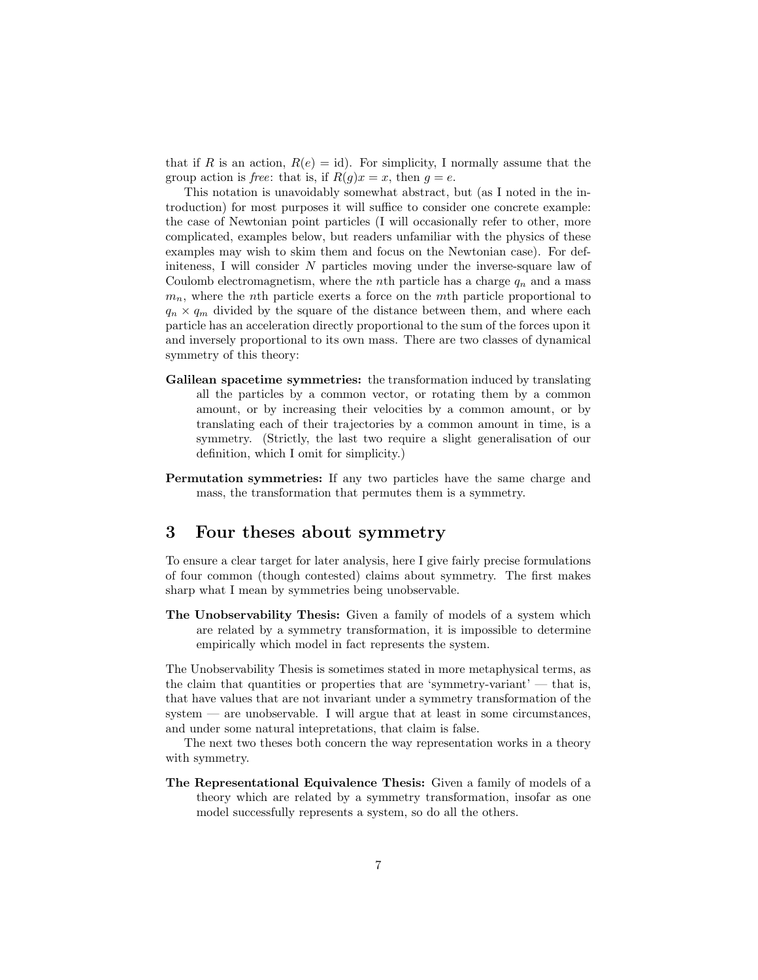that if R is an action,  $R(e) = id$ . For simplicity, I normally assume that the group action is *free*: that is, if  $R(g)x = x$ , then  $g = e$ .

This notation is unavoidably somewhat abstract, but (as I noted in the introduction) for most purposes it will suffice to consider one concrete example: the case of Newtonian point particles (I will occasionally refer to other, more complicated, examples below, but readers unfamiliar with the physics of these examples may wish to skim them and focus on the Newtonian case). For definiteness, I will consider N particles moving under the inverse-square law of Coulomb electromagnetism, where the *n*th particle has a charge  $q_n$  and a mass  $m_n$ , where the *n*th particle exerts a force on the *m*th particle proportional to  $q_n \times q_m$  divided by the square of the distance between them, and where each particle has an acceleration directly proportional to the sum of the forces upon it and inversely proportional to its own mass. There are two classes of dynamical symmetry of this theory:

- Galilean spacetime symmetries: the transformation induced by translating all the particles by a common vector, or rotating them by a common amount, or by increasing their velocities by a common amount, or by translating each of their trajectories by a common amount in time, is a symmetry. (Strictly, the last two require a slight generalisation of our definition, which I omit for simplicity.)
- Permutation symmetries: If any two particles have the same charge and mass, the transformation that permutes them is a symmetry.

### 3 Four theses about symmetry

To ensure a clear target for later analysis, here I give fairly precise formulations of four common (though contested) claims about symmetry. The first makes sharp what I mean by symmetries being unobservable.

The Unobservability Thesis: Given a family of models of a system which are related by a symmetry transformation, it is impossible to determine empirically which model in fact represents the system.

The Unobservability Thesis is sometimes stated in more metaphysical terms, as the claim that quantities or properties that are 'symmetry-variant' — that is, that have values that are not invariant under a symmetry transformation of the  $s$ ystem — are unobservable. I will argue that at least in some circumstances, and under some natural intepretations, that claim is false.

The next two theses both concern the way representation works in a theory with symmetry.

The Representational Equivalence Thesis: Given a family of models of a theory which are related by a symmetry transformation, insofar as one model successfully represents a system, so do all the others.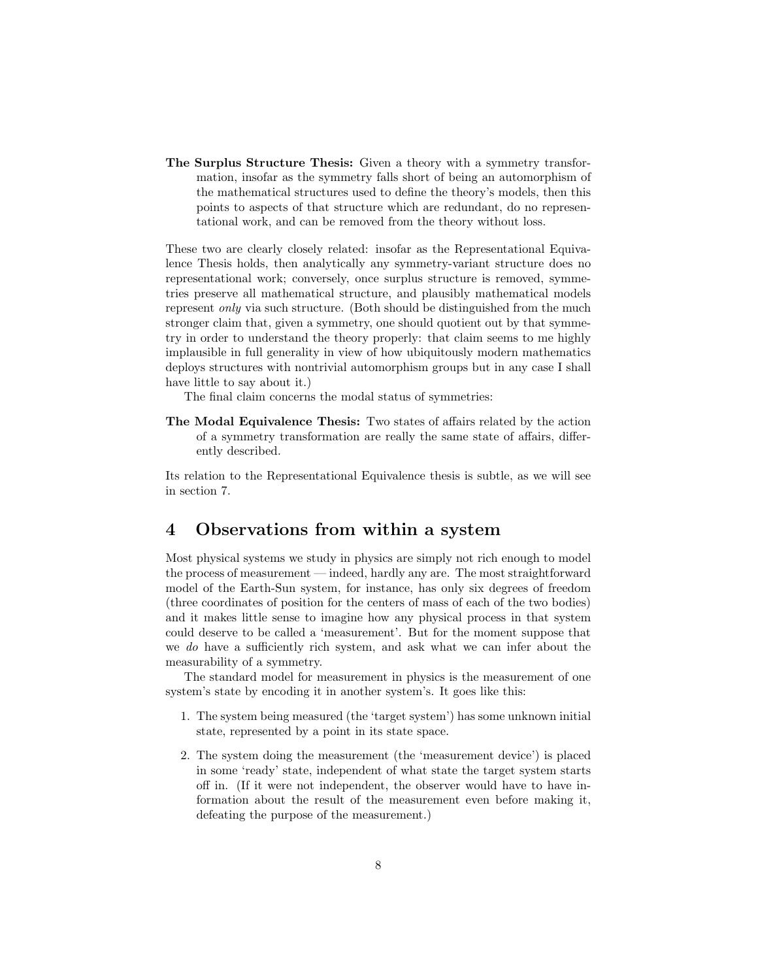The Surplus Structure Thesis: Given a theory with a symmetry transformation, insofar as the symmetry falls short of being an automorphism of the mathematical structures used to define the theory's models, then this points to aspects of that structure which are redundant, do no representational work, and can be removed from the theory without loss.

These two are clearly closely related: insofar as the Representational Equivalence Thesis holds, then analytically any symmetry-variant structure does no representational work; conversely, once surplus structure is removed, symmetries preserve all mathematical structure, and plausibly mathematical models represent only via such structure. (Both should be distinguished from the much stronger claim that, given a symmetry, one should quotient out by that symmetry in order to understand the theory properly: that claim seems to me highly implausible in full generality in view of how ubiquitously modern mathematics deploys structures with nontrivial automorphism groups but in any case I shall have little to say about it.)

The final claim concerns the modal status of symmetries:

The Modal Equivalence Thesis: Two states of affairs related by the action of a symmetry transformation are really the same state of affairs, differently described.

Its relation to the Representational Equivalence thesis is subtle, as we will see in section 7.

### 4 Observations from within a system

Most physical systems we study in physics are simply not rich enough to model the process of measurement — indeed, hardly any are. The most straightforward model of the Earth-Sun system, for instance, has only six degrees of freedom (three coordinates of position for the centers of mass of each of the two bodies) and it makes little sense to imagine how any physical process in that system could deserve to be called a 'measurement'. But for the moment suppose that we do have a sufficiently rich system, and ask what we can infer about the measurability of a symmetry.

The standard model for measurement in physics is the measurement of one system's state by encoding it in another system's. It goes like this:

- 1. The system being measured (the 'target system') has some unknown initial state, represented by a point in its state space.
- 2. The system doing the measurement (the 'measurement device') is placed in some 'ready' state, independent of what state the target system starts off in. (If it were not independent, the observer would have to have information about the result of the measurement even before making it, defeating the purpose of the measurement.)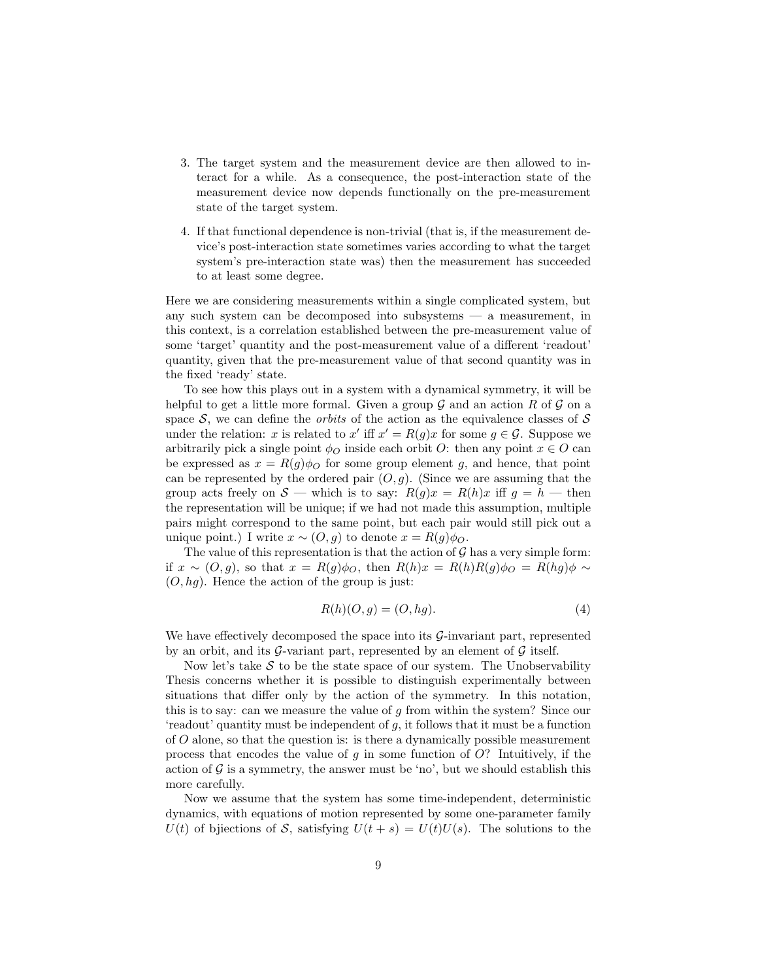- 3. The target system and the measurement device are then allowed to interact for a while. As a consequence, the post-interaction state of the measurement device now depends functionally on the pre-measurement state of the target system.
- 4. If that functional dependence is non-trivial (that is, if the measurement device's post-interaction state sometimes varies according to what the target system's pre-interaction state was) then the measurement has succeeded to at least some degree.

Here we are considering measurements within a single complicated system, but any such system can be decomposed into subsystems — a measurement, in this context, is a correlation established between the pre-measurement value of some 'target' quantity and the post-measurement value of a different 'readout' quantity, given that the pre-measurement value of that second quantity was in the fixed 'ready' state.

To see how this plays out in a system with a dynamical symmetry, it will be helpful to get a little more formal. Given a group  $\mathcal G$  and an action R of  $\mathcal G$  on a space  $S$ , we can define the *orbits* of the action as the equivalence classes of  $S$ under the relation: x is related to x' iff  $x' = R(g)x$  for some  $g \in \mathcal{G}$ . Suppose we arbitrarily pick a single point  $\phi_O$  inside each orbit O: then any point  $x \in O$  can be expressed as  $x = R(g)\phi_O$  for some group element g, and hence, that point can be represented by the ordered pair  $(O, g)$ . (Since we are assuming that the group acts freely on  $S$  — which is to say:  $R(g)x = R(h)x$  iff  $g = h$  — then the representation will be unique; if we had not made this assumption, multiple pairs might correspond to the same point, but each pair would still pick out a unique point.) I write  $x \sim (O, g)$  to denote  $x = R(g)\phi_O$ .

The value of this representation is that the action of  $\mathcal G$  has a very simple form: if  $x \sim (O, g)$ , so that  $x = R(g)\phi_O$ , then  $R(h)x = R(h)R(g)\phi_O = R(hg)\phi \sim$  $(O, hg)$ . Hence the action of the group is just:

$$
R(h)(O,g) = (O, hg). \tag{4}
$$

We have effectively decomposed the space into its  $\mathcal{G}$ -invariant part, represented by an orbit, and its  $G$ -variant part, represented by an element of  $G$  itself.

Now let's take  $S$  to be the state space of our system. The Unobservability Thesis concerns whether it is possible to distinguish experimentally between situations that differ only by the action of the symmetry. In this notation, this is to say: can we measure the value of g from within the system? Since our 'readout' quantity must be independent of  $g$ , it follows that it must be a function of O alone, so that the question is: is there a dynamically possible measurement process that encodes the value of q in some function of  $O$ ? Intuitively, if the action of  $\mathcal G$  is a symmetry, the answer must be 'no', but we should establish this more carefully.

Now we assume that the system has some time-independent, deterministic dynamics, with equations of motion represented by some one-parameter family  $U(t)$  of bjiections of S, satisfying  $U(t + s) = U(t)U(s)$ . The solutions to the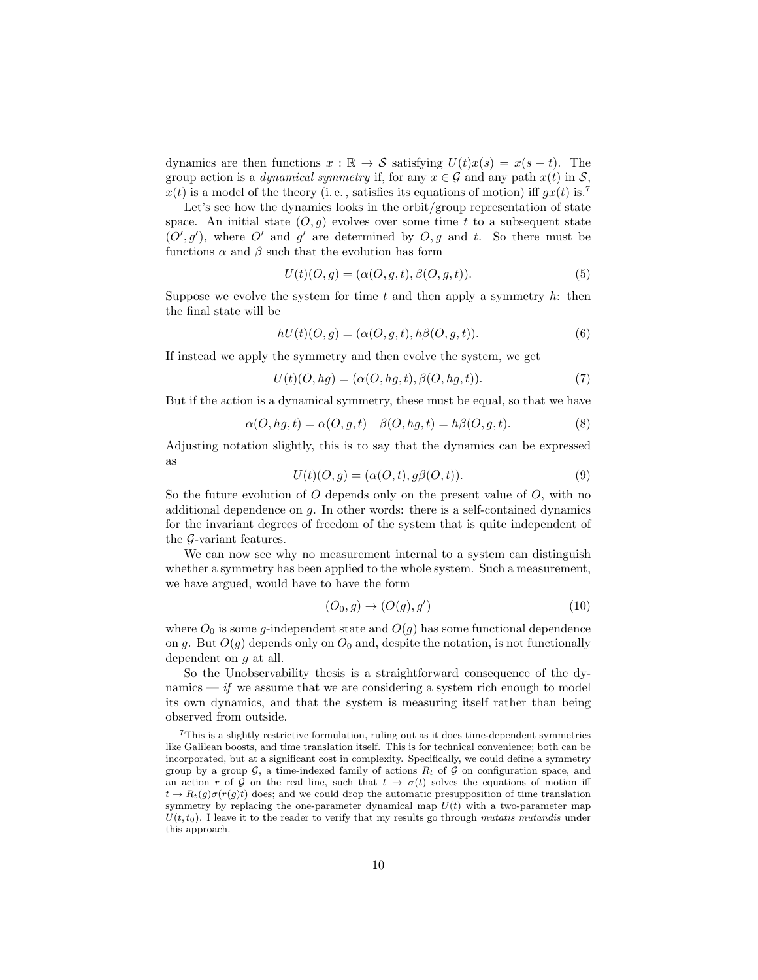dynamics are then functions  $x : \mathbb{R} \to S$  satisfying  $U(t)x(s) = x(s + t)$ . The group action is a *dynamical symmetry* if, for any  $x \in \mathcal{G}$  and any path  $x(t)$  in  $\mathcal{S}$ ,  $x(t)$  is a model of the theory (i.e., satisfies its equations of motion) iff  $gx(t)$  is.<sup>7</sup>

Let's see how the dynamics looks in the orbit/group representation of state space. An initial state  $(O, g)$  evolves over some time t to a subsequent state  $(O', g')$ , where O' and g' are determined by  $O, g$  and t. So there must be functions  $\alpha$  and  $\beta$  such that the evolution has form

$$
U(t)(O,g) = (\alpha(O,g,t), \beta(O,g,t)).
$$
\n<sup>(5)</sup>

Suppose we evolve the system for time t and then apply a symmetry  $h$ : then the final state will be

$$
hU(t)(O,g) = (\alpha(O,g,t), h\beta(O,g,t)).
$$
\n<sup>(6)</sup>

If instead we apply the symmetry and then evolve the system, we get

$$
U(t)(O, hg) = (\alpha(O, hg, t), \beta(O, hg, t)).
$$
\n
$$
(7)
$$

But if the action is a dynamical symmetry, these must be equal, so that we have

$$
\alpha(O, hg, t) = \alpha(O, g, t) \quad \beta(O, hg, t) = h\beta(O, g, t). \tag{8}
$$

Adjusting notation slightly, this is to say that the dynamics can be expressed as

$$
U(t)(O,g) = (\alpha(O,t), g\beta(O,t)).
$$
\n(9)

So the future evolution of  $O$  depends only on the present value of  $O$ , with no additional dependence on g. In other words: there is a self-contained dynamics for the invariant degrees of freedom of the system that is quite independent of the G-variant features.

We can now see why no measurement internal to a system can distinguish whether a symmetry has been applied to the whole system. Such a measurement, we have argued, would have to have the form

$$
(O_0, g) \to (O(g), g') \tag{10}
$$

where  $O_0$  is some g-independent state and  $O(g)$  has some functional dependence on g. But  $O(g)$  depends only on  $O_0$  and, despite the notation, is not functionally dependent on g at all.

So the Unobservability thesis is a straightforward consequence of the dynamics — if we assume that we are considering a system rich enough to model its own dynamics, and that the system is measuring itself rather than being observed from outside.

<sup>7</sup>This is a slightly restrictive formulation, ruling out as it does time-dependent symmetries like Galilean boosts, and time translation itself. This is for technical convenience; both can be incorporated, but at a significant cost in complexity. Specifically, we could define a symmetry group by a group  $G$ , a time-indexed family of actions  $R_t$  of  $G$  on configuration space, and an action r of G on the real line, such that  $t \to \sigma(t)$  solves the equations of motion iff  $t \to R_t(q)\sigma(r(q)t)$  does; and we could drop the automatic presupposition of time translation symmetry by replacing the one-parameter dynamical map  $U(t)$  with a two-parameter map  $U(t, t_0)$ . I leave it to the reader to verify that my results go through mutatis mutandis under this approach.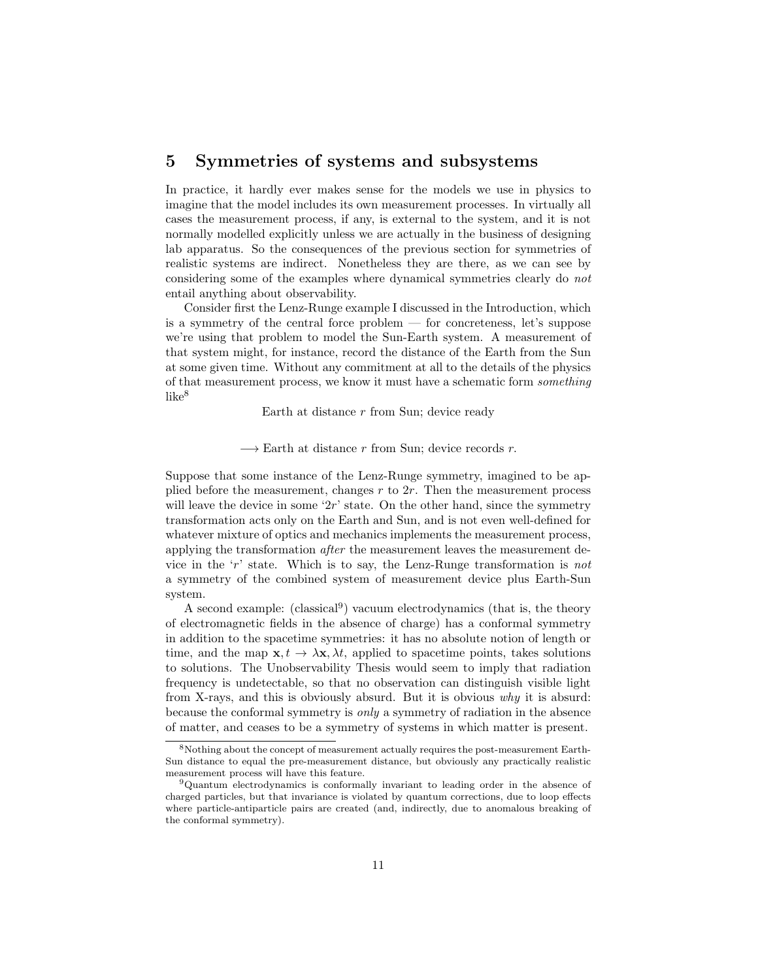### 5 Symmetries of systems and subsystems

In practice, it hardly ever makes sense for the models we use in physics to imagine that the model includes its own measurement processes. In virtually all cases the measurement process, if any, is external to the system, and it is not normally modelled explicitly unless we are actually in the business of designing lab apparatus. So the consequences of the previous section for symmetries of realistic systems are indirect. Nonetheless they are there, as we can see by considering some of the examples where dynamical symmetries clearly do not entail anything about observability.

Consider first the Lenz-Runge example I discussed in the Introduction, which is a symmetry of the central force problem — for concreteness, let's suppose we're using that problem to model the Sun-Earth system. A measurement of that system might, for instance, record the distance of the Earth from the Sun at some given time. Without any commitment at all to the details of the physics of that measurement process, we know it must have a schematic form something  $like<sup>8</sup>$ 

Earth at distance  $r$  from Sun; device ready

 $\longrightarrow$  Earth at distance r from Sun; device records r.

Suppose that some instance of the Lenz-Runge symmetry, imagined to be applied before the measurement, changes  $r$  to  $2r$ . Then the measurement process will leave the device in some ' $2r'$ ' state. On the other hand, since the symmetry transformation acts only on the Earth and Sun, and is not even well-defined for whatever mixture of optics and mechanics implements the measurement process, applying the transformation after the measurement leaves the measurement device in the 'r' state. Which is to say, the Lenz-Runge transformation is not a symmetry of the combined system of measurement device plus Earth-Sun system.

A second example: (classical<sup>9</sup>) vacuum electrodynamics (that is, the theory of electromagnetic fields in the absence of charge) has a conformal symmetry in addition to the spacetime symmetries: it has no absolute notion of length or time, and the map  $\mathbf{x}, t \to \lambda \mathbf{x}, \lambda t$ , applied to spacetime points, takes solutions to solutions. The Unobservability Thesis would seem to imply that radiation frequency is undetectable, so that no observation can distinguish visible light from X-rays, and this is obviously absurd. But it is obvious why it is absurd: because the conformal symmetry is only a symmetry of radiation in the absence of matter, and ceases to be a symmetry of systems in which matter is present.

<sup>8</sup>Nothing about the concept of measurement actually requires the post-measurement Earth-Sun distance to equal the pre-measurement distance, but obviously any practically realistic measurement process will have this feature.

<sup>9</sup>Quantum electrodynamics is conformally invariant to leading order in the absence of charged particles, but that invariance is violated by quantum corrections, due to loop effects where particle-antiparticle pairs are created (and, indirectly, due to anomalous breaking of the conformal symmetry).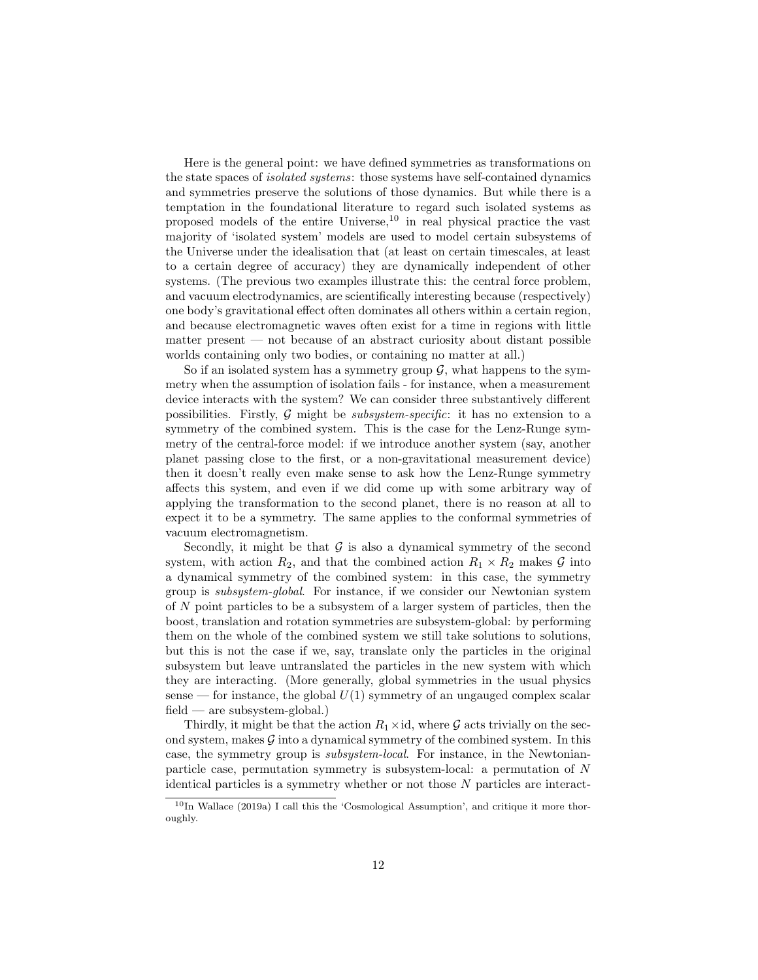Here is the general point: we have defined symmetries as transformations on the state spaces of isolated systems: those systems have self-contained dynamics and symmetries preserve the solutions of those dynamics. But while there is a temptation in the foundational literature to regard such isolated systems as proposed models of the entire Universe,  $10$  in real physical practice the vast majority of 'isolated system' models are used to model certain subsystems of the Universe under the idealisation that (at least on certain timescales, at least to a certain degree of accuracy) they are dynamically independent of other systems. (The previous two examples illustrate this: the central force problem, and vacuum electrodynamics, are scientifically interesting because (respectively) one body's gravitational effect often dominates all others within a certain region, and because electromagnetic waves often exist for a time in regions with little matter present — not because of an abstract curiosity about distant possible worlds containing only two bodies, or containing no matter at all.)

So if an isolated system has a symmetry group  $\mathcal{G}$ , what happens to the symmetry when the assumption of isolation fails - for instance, when a measurement device interacts with the system? We can consider three substantively different possibilities. Firstly,  $G$  might be *subsystem-specific*: it has no extension to a symmetry of the combined system. This is the case for the Lenz-Runge symmetry of the central-force model: if we introduce another system (say, another planet passing close to the first, or a non-gravitational measurement device) then it doesn't really even make sense to ask how the Lenz-Runge symmetry affects this system, and even if we did come up with some arbitrary way of applying the transformation to the second planet, there is no reason at all to expect it to be a symmetry. The same applies to the conformal symmetries of vacuum electromagnetism.

Secondly, it might be that  $\mathcal G$  is also a dynamical symmetry of the second system, with action  $R_2$ , and that the combined action  $R_1 \times R_2$  makes  $\mathcal G$  into a dynamical symmetry of the combined system: in this case, the symmetry group is subsystem-global. For instance, if we consider our Newtonian system of N point particles to be a subsystem of a larger system of particles, then the boost, translation and rotation symmetries are subsystem-global: by performing them on the whole of the combined system we still take solutions to solutions, but this is not the case if we, say, translate only the particles in the original subsystem but leave untranslated the particles in the new system with which they are interacting. (More generally, global symmetries in the usual physics sense — for instance, the global  $U(1)$  symmetry of an ungauged complex scalar field — are subsystem-global.)

Thirdly, it might be that the action  $R_1 \times id$ , where G acts trivially on the second system, makes  $\mathcal G$  into a dynamical symmetry of the combined system. In this case, the symmetry group is subsystem-local. For instance, in the Newtonianparticle case, permutation symmetry is subsystem-local: a permutation of N identical particles is a symmetry whether or not those N particles are interact-

<sup>10</sup>In Wallace (2019a) I call this the 'Cosmological Assumption', and critique it more thoroughly.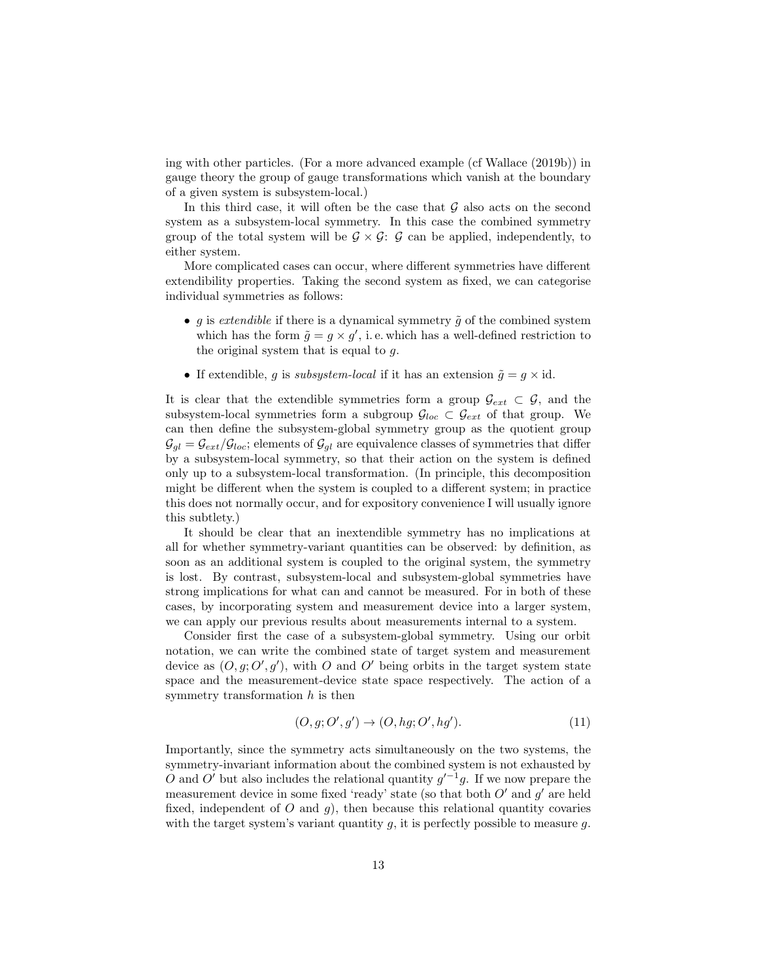ing with other particles. (For a more advanced example (cf Wallace (2019b)) in gauge theory the group of gauge transformations which vanish at the boundary of a given system is subsystem-local.)

In this third case, it will often be the case that  $G$  also acts on the second system as a subsystem-local symmetry. In this case the combined symmetry group of the total system will be  $\mathcal{G} \times \mathcal{G}$ :  $\mathcal{G}$  can be applied, independently, to either system.

More complicated cases can occur, where different symmetries have different extendibility properties. Taking the second system as fixed, we can categorise individual symmetries as follows:

- g is extendible if there is a dynamical symmetry  $\tilde{g}$  of the combined system which has the form  $\tilde{g} = g \times g'$ , i.e. which has a well-defined restriction to the original system that is equal to g.
- If extendible, g is subsystem-local if it has an extension  $\tilde{g} = g \times id$ .

It is clear that the extendible symmetries form a group  $\mathcal{G}_{ext} \subset \mathcal{G}$ , and the subsystem-local symmetries form a subgroup  $\mathcal{G}_{loc} \subset \mathcal{G}_{ext}$  of that group. We can then define the subsystem-global symmetry group as the quotient group  $\mathcal{G}_{gl} = \mathcal{G}_{ext}/\mathcal{G}_{loc}$ ; elements of  $\mathcal{G}_{gl}$  are equivalence classes of symmetries that differ by a subsystem-local symmetry, so that their action on the system is defined only up to a subsystem-local transformation. (In principle, this decomposition might be different when the system is coupled to a different system; in practice this does not normally occur, and for expository convenience I will usually ignore this subtlety.)

It should be clear that an inextendible symmetry has no implications at all for whether symmetry-variant quantities can be observed: by definition, as soon as an additional system is coupled to the original system, the symmetry is lost. By contrast, subsystem-local and subsystem-global symmetries have strong implications for what can and cannot be measured. For in both of these cases, by incorporating system and measurement device into a larger system, we can apply our previous results about measurements internal to a system.

Consider first the case of a subsystem-global symmetry. Using our orbit notation, we can write the combined state of target system and measurement device as  $(0, g; O', g')$ , with O and O' being orbits in the target system state space and the measurement-device state space respectively. The action of a symmetry transformation  $h$  is then

$$
(O, g; O', g') \rightarrow (O, hg; O', hg'). \tag{11}
$$

Importantly, since the symmetry acts simultaneously on the two systems, the symmetry-invariant information about the combined system is not exhausted by O and O' but also includes the relational quantity  $g'^{-1}g$ . If we now prepare the measurement device in some fixed 'ready' state (so that both  $O'$  and  $g'$  are held fixed, independent of  $O$  and  $g$ ), then because this relational quantity covaries with the target system's variant quantity  $g$ , it is perfectly possible to measure  $g$ .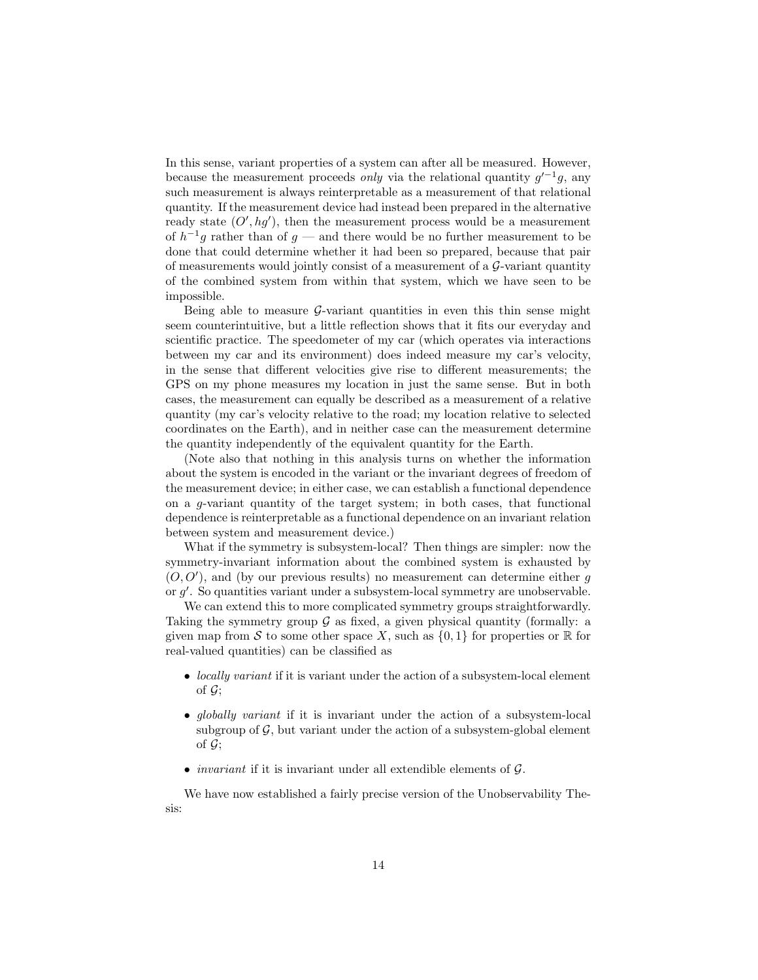In this sense, variant properties of a system can after all be measured. However, because the measurement proceeds *only* via the relational quantity  $g'^{-1}g$ , any such measurement is always reinterpretable as a measurement of that relational quantity. If the measurement device had instead been prepared in the alternative ready state  $(O', hg')$ , then the measurement process would be a measurement of  $h^{-1}g$  rather than of  $g$  — and there would be no further measurement to be done that could determine whether it had been so prepared, because that pair of measurements would jointly consist of a measurement of a  $\mathcal{G}\text{-variant quantity}$ of the combined system from within that system, which we have seen to be impossible.

Being able to measure  $\mathcal{G}\text{-variant quantities}$  in even this thin sense might seem counterintuitive, but a little reflection shows that it fits our everyday and scientific practice. The speedometer of my car (which operates via interactions between my car and its environment) does indeed measure my car's velocity, in the sense that different velocities give rise to different measurements; the GPS on my phone measures my location in just the same sense. But in both cases, the measurement can equally be described as a measurement of a relative quantity (my car's velocity relative to the road; my location relative to selected coordinates on the Earth), and in neither case can the measurement determine the quantity independently of the equivalent quantity for the Earth.

(Note also that nothing in this analysis turns on whether the information about the system is encoded in the variant or the invariant degrees of freedom of the measurement device; in either case, we can establish a functional dependence on a g-variant quantity of the target system; in both cases, that functional dependence is reinterpretable as a functional dependence on an invariant relation between system and measurement device.)

What if the symmetry is subsystem-local? Then things are simpler: now the symmetry-invariant information about the combined system is exhausted by  $(0,0')$ , and (by our previous results) no measurement can determine either g or g'. So quantities variant under a subsystem-local symmetry are unobservable.

We can extend this to more complicated symmetry groups straightforwardly. Taking the symmetry group  $\mathcal G$  as fixed, a given physical quantity (formally: a given map from S to some other space X, such as  $\{0,1\}$  for properties or R for real-valued quantities) can be classified as

- *locally variant* if it is variant under the action of a subsystem-local element of  $\mathcal{G}$ :
- *globally variant* if it is invariant under the action of a subsystem-local subgroup of  $\mathcal{G}$ , but variant under the action of a subsystem-global element of  $\mathcal{G}$ :
- *invariant* if it is invariant under all extendible elements of  $G$ .

We have now established a fairly precise version of the Unobservability Thesis: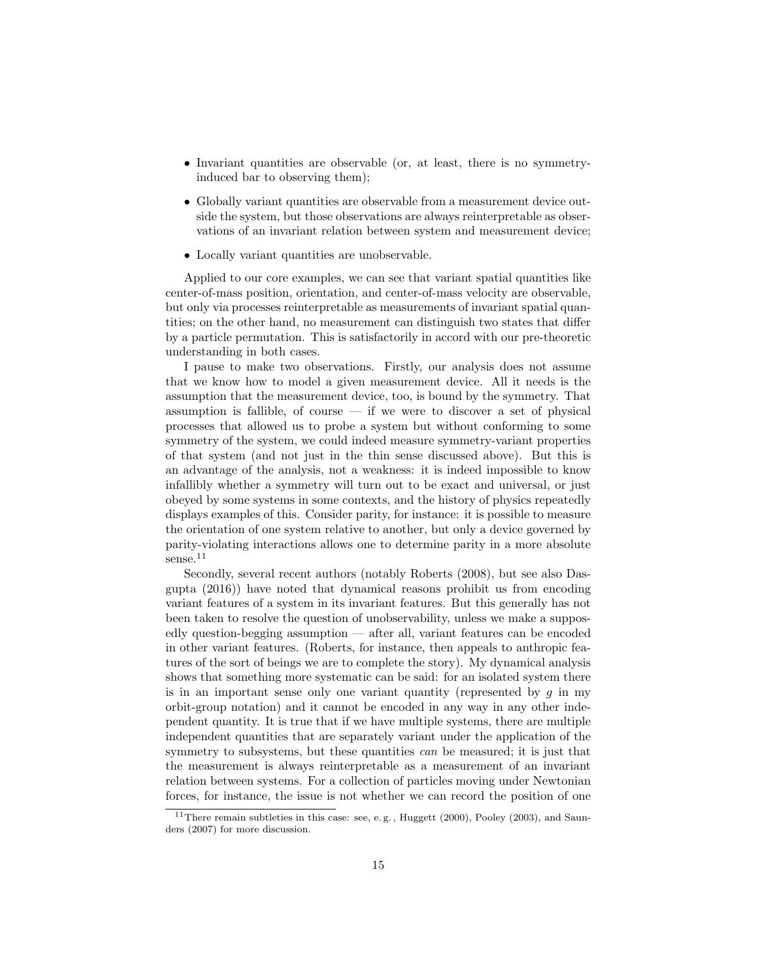- Invariant quantities are observable (or, at least, there is no symmetryinduced bar to observing them);
- Globally variant quantities are observable from a measurement device outside the system, but those observations are always reinterpretable as observations of an invariant relation between system and measurement device;
- Locally variant quantities are unobservable.

Applied to our core examples, we can see that variant spatial quantities like center-of-mass position, orientation, and center-of-mass velocity are observable, but only via processes reinterpretable as measurements of invariant spatial quantities; on the other hand, no measurement can distinguish two states that differ by a particle permutation. This is satisfactorily in accord with our pre-theoretic understanding in both cases.

I pause to make two observations. Firstly, our analysis does not assume that we know how to model a given measurement device. All it needs is the assumption that the measurement device, too, is bound by the symmetry. That assumption is fallible, of course  $-$  if we were to discover a set of physical processes that allowed us to probe a system but without conforming to some symmetry of the system, we could indeed measure symmetry-variant properties of that system (and not just in the thin sense discussed above). But this is an advantage of the analysis, not a weakness: it is indeed impossible to know infallibly whether a symmetry will turn out to be exact and universal, or just obeyed by some systems in some contexts, and the history of physics repeatedly displays examples of this. Consider parity, for instance: it is possible to measure the orientation of one system relative to another, but only a device governed by parity-violating interactions allows one to determine parity in a more absolute sense.<sup>11</sup>

Secondly, several recent authors (notably Roberts (2008), but see also Dasgupta (2016)) have noted that dynamical reasons prohibit us from encoding variant features of a system in its invariant features. But this generally has not been taken to resolve the question of unobservability, unless we make a supposedly question-begging assumption — after all, variant features can be encoded in other variant features. (Roberts, for instance, then appeals to anthropic features of the sort of beings we are to complete the story). My dynamical analysis shows that something more systematic can be said: for an isolated system there is in an important sense only one variant quantity (represented by  $q$  in my orbit-group notation) and it cannot be encoded in any way in any other independent quantity. It is true that if we have multiple systems, there are multiple independent quantities that are separately variant under the application of the symmetry to subsystems, but these quantities *can* be measured; it is just that the measurement is always reinterpretable as a measurement of an invariant relation between systems. For a collection of particles moving under Newtonian forces, for instance, the issue is not whether we can record the position of one

<sup>&</sup>lt;sup>11</sup>There remain subtleties in this case: see, e.g., Huggett (2000), Pooley (2003), and Saunders (2007) for more discussion.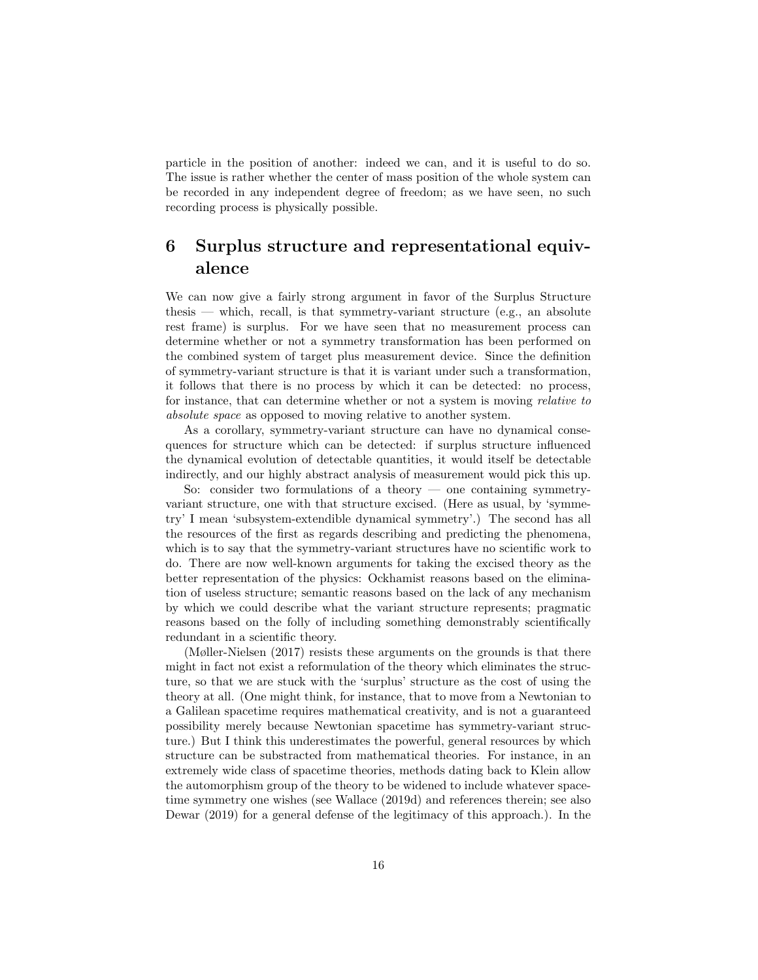particle in the position of another: indeed we can, and it is useful to do so. The issue is rather whether the center of mass position of the whole system can be recorded in any independent degree of freedom; as we have seen, no such recording process is physically possible.

## 6 Surplus structure and representational equivalence

We can now give a fairly strong argument in favor of the Surplus Structure thesis — which, recall, is that symmetry-variant structure (e.g., an absolute rest frame) is surplus. For we have seen that no measurement process can determine whether or not a symmetry transformation has been performed on the combined system of target plus measurement device. Since the definition of symmetry-variant structure is that it is variant under such a transformation, it follows that there is no process by which it can be detected: no process, for instance, that can determine whether or not a system is moving relative to absolute space as opposed to moving relative to another system.

As a corollary, symmetry-variant structure can have no dynamical consequences for structure which can be detected: if surplus structure influenced the dynamical evolution of detectable quantities, it would itself be detectable indirectly, and our highly abstract analysis of measurement would pick this up.

So: consider two formulations of a theory — one containing symmetryvariant structure, one with that structure excised. (Here as usual, by 'symmetry' I mean 'subsystem-extendible dynamical symmetry'.) The second has all the resources of the first as regards describing and predicting the phenomena, which is to say that the symmetry-variant structures have no scientific work to do. There are now well-known arguments for taking the excised theory as the better representation of the physics: Ockhamist reasons based on the elimination of useless structure; semantic reasons based on the lack of any mechanism by which we could describe what the variant structure represents; pragmatic reasons based on the folly of including something demonstrably scientifically redundant in a scientific theory.

(Møller-Nielsen (2017) resists these arguments on the grounds is that there might in fact not exist a reformulation of the theory which eliminates the structure, so that we are stuck with the 'surplus' structure as the cost of using the theory at all. (One might think, for instance, that to move from a Newtonian to a Galilean spacetime requires mathematical creativity, and is not a guaranteed possibility merely because Newtonian spacetime has symmetry-variant structure.) But I think this underestimates the powerful, general resources by which structure can be substracted from mathematical theories. For instance, in an extremely wide class of spacetime theories, methods dating back to Klein allow the automorphism group of the theory to be widened to include whatever spacetime symmetry one wishes (see Wallace (2019d) and references therein; see also Dewar (2019) for a general defense of the legitimacy of this approach.). In the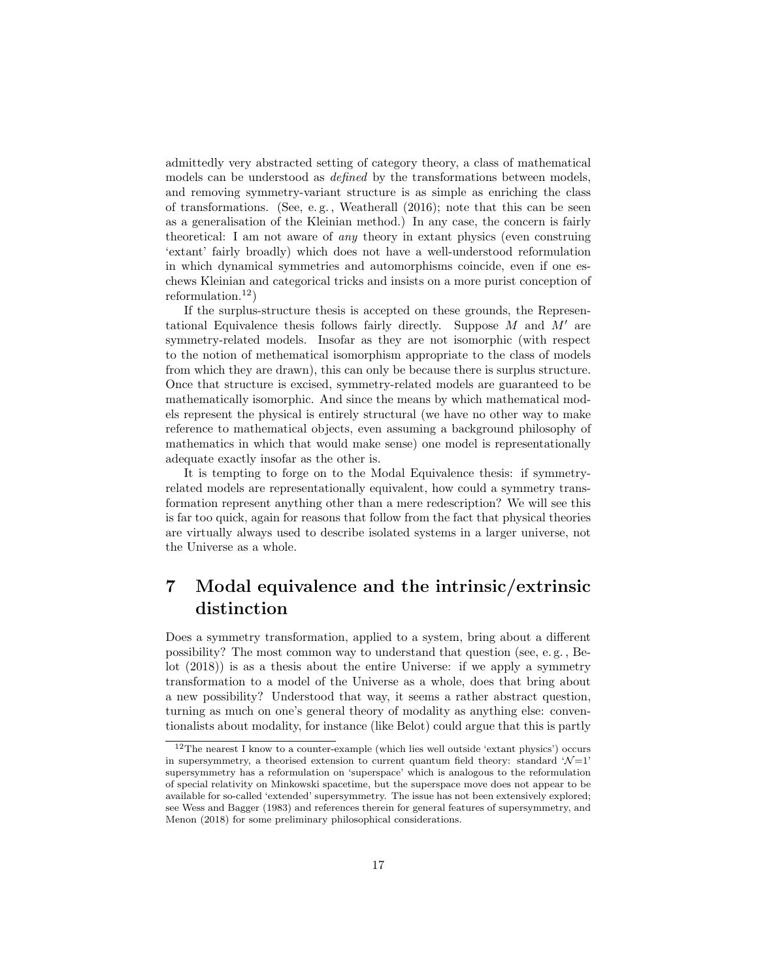admittedly very abstracted setting of category theory, a class of mathematical models can be understood as defined by the transformations between models, and removing symmetry-variant structure is as simple as enriching the class of transformations. (See, e.g., Weatherall  $(2016)$ ; note that this can be seen as a generalisation of the Kleinian method.) In any case, the concern is fairly theoretical: I am not aware of any theory in extant physics (even construing 'extant' fairly broadly) which does not have a well-understood reformulation in which dynamical symmetries and automorphisms coincide, even if one eschews Kleinian and categorical tricks and insists on a more purist conception of reformulation.<sup>12</sup>)

If the surplus-structure thesis is accepted on these grounds, the Representational Equivalence thesis follows fairly directly. Suppose  $M$  and  $M'$  are symmetry-related models. Insofar as they are not isomorphic (with respect to the notion of methematical isomorphism appropriate to the class of models from which they are drawn), this can only be because there is surplus structure. Once that structure is excised, symmetry-related models are guaranteed to be mathematically isomorphic. And since the means by which mathematical models represent the physical is entirely structural (we have no other way to make reference to mathematical objects, even assuming a background philosophy of mathematics in which that would make sense) one model is representationally adequate exactly insofar as the other is.

It is tempting to forge on to the Modal Equivalence thesis: if symmetryrelated models are representationally equivalent, how could a symmetry transformation represent anything other than a mere redescription? We will see this is far too quick, again for reasons that follow from the fact that physical theories are virtually always used to describe isolated systems in a larger universe, not the Universe as a whole.

### 7 Modal equivalence and the intrinsic/extrinsic distinction

Does a symmetry transformation, applied to a system, bring about a different possibility? The most common way to understand that question (see, e. g. , Belot (2018)) is as a thesis about the entire Universe: if we apply a symmetry transformation to a model of the Universe as a whole, does that bring about a new possibility? Understood that way, it seems a rather abstract question, turning as much on one's general theory of modality as anything else: conventionalists about modality, for instance (like Belot) could argue that this is partly

 $12$ The nearest I know to a counter-example (which lies well outside 'extant physics') occurs in supersymmetry, a theorised extension to current quantum field theory: standard  $\mathcal{N}=1$ ' supersymmetry has a reformulation on 'superspace' which is analogous to the reformulation of special relativity on Minkowski spacetime, but the superspace move does not appear to be available for so-called 'extended' supersymmetry. The issue has not been extensively explored; see Wess and Bagger (1983) and references therein for general features of supersymmetry, and Menon (2018) for some preliminary philosophical considerations.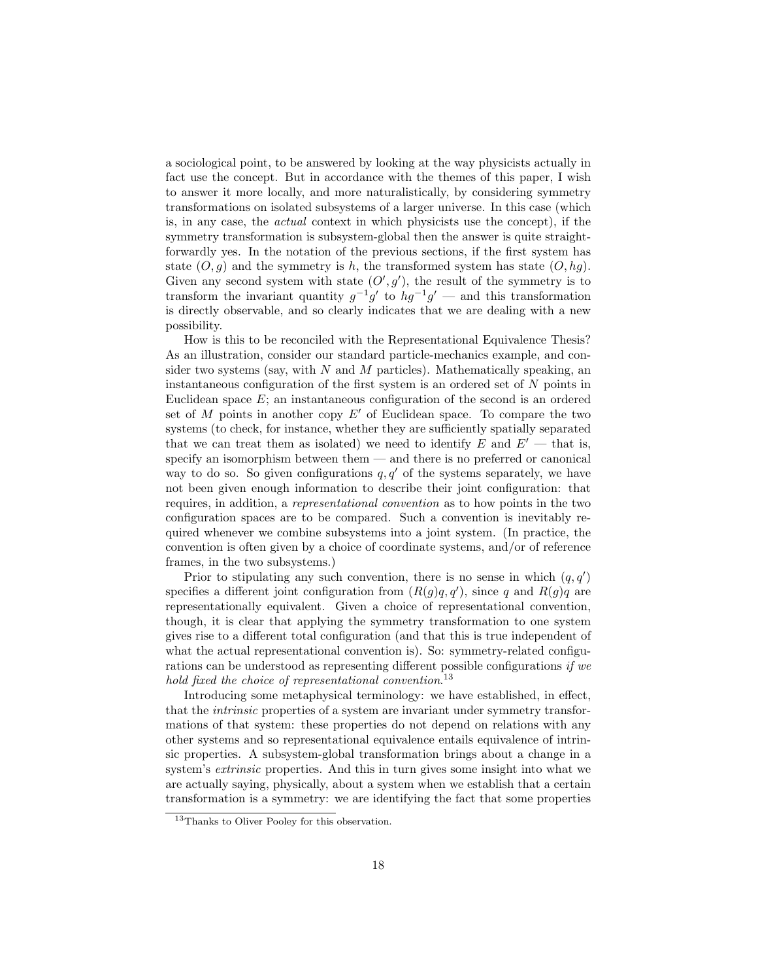a sociological point, to be answered by looking at the way physicists actually in fact use the concept. But in accordance with the themes of this paper, I wish to answer it more locally, and more naturalistically, by considering symmetry transformations on isolated subsystems of a larger universe. In this case (which is, in any case, the actual context in which physicists use the concept), if the symmetry transformation is subsystem-global then the answer is quite straightforwardly yes. In the notation of the previous sections, if the first system has state  $(O, g)$  and the symmetry is h, the transformed system has state  $(O, hg)$ . Given any second system with state  $(O', g')$ , the result of the symmetry is to transform the invariant quantity  $g^{-1}g'$  to  $hg^{-1}g'$  — and this transformation is directly observable, and so clearly indicates that we are dealing with a new possibility.

How is this to be reconciled with the Representational Equivalence Thesis? As an illustration, consider our standard particle-mechanics example, and consider two systems (say, with  $N$  and  $M$  particles). Mathematically speaking, an instantaneous configuration of the first system is an ordered set of N points in Euclidean space  $E$ ; an instantaneous configuration of the second is an ordered set of M points in another copy  $E'$  of Euclidean space. To compare the two systems (to check, for instance, whether they are sufficiently spatially separated that we can treat them as isolated) we need to identify E and  $E'-$  that is, specify an isomorphism between them — and there is no preferred or canonical way to do so. So given configurations  $q, q'$  of the systems separately, we have not been given enough information to describe their joint configuration: that requires, in addition, a representational convention as to how points in the two configuration spaces are to be compared. Such a convention is inevitably required whenever we combine subsystems into a joint system. (In practice, the convention is often given by a choice of coordinate systems, and/or of reference frames, in the two subsystems.)

Prior to stipulating any such convention, there is no sense in which  $(q, q')$ specifies a different joint configuration from  $(R(g)q, q')$ , since q and  $R(g)q$  are representationally equivalent. Given a choice of representational convention, though, it is clear that applying the symmetry transformation to one system gives rise to a different total configuration (and that this is true independent of what the actual representational convention is). So: symmetry-related configurations can be understood as representing different possible configurations if we hold fixed the choice of representational convention.<sup>13</sup>

Introducing some metaphysical terminology: we have established, in effect, that the intrinsic properties of a system are invariant under symmetry transformations of that system: these properties do not depend on relations with any other systems and so representational equivalence entails equivalence of intrinsic properties. A subsystem-global transformation brings about a change in a system's extrinsic properties. And this in turn gives some insight into what we are actually saying, physically, about a system when we establish that a certain transformation is a symmetry: we are identifying the fact that some properties

<sup>13</sup>Thanks to Oliver Pooley for this observation.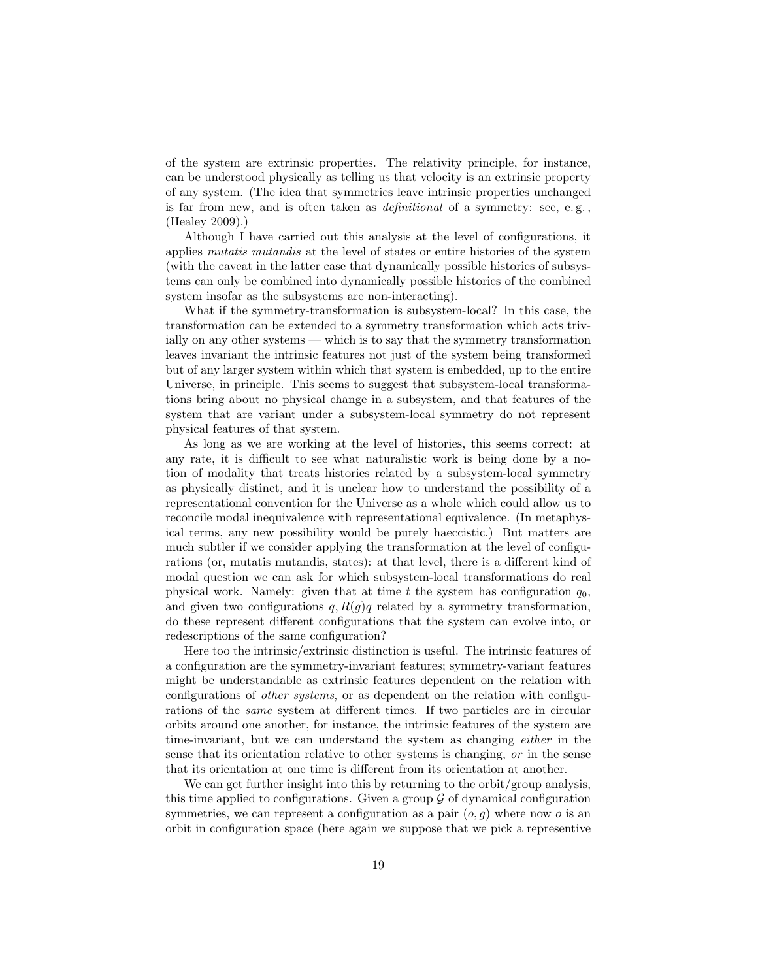of the system are extrinsic properties. The relativity principle, for instance, can be understood physically as telling us that velocity is an extrinsic property of any system. (The idea that symmetries leave intrinsic properties unchanged is far from new, and is often taken as *definitional* of a symmetry: see, e.g., (Healey 2009).)

Although I have carried out this analysis at the level of configurations, it applies mutatis mutandis at the level of states or entire histories of the system (with the caveat in the latter case that dynamically possible histories of subsystems can only be combined into dynamically possible histories of the combined system insofar as the subsystems are non-interacting).

What if the symmetry-transformation is subsystem-local? In this case, the transformation can be extended to a symmetry transformation which acts trivially on any other systems — which is to say that the symmetry transformation leaves invariant the intrinsic features not just of the system being transformed but of any larger system within which that system is embedded, up to the entire Universe, in principle. This seems to suggest that subsystem-local transformations bring about no physical change in a subsystem, and that features of the system that are variant under a subsystem-local symmetry do not represent physical features of that system.

As long as we are working at the level of histories, this seems correct: at any rate, it is difficult to see what naturalistic work is being done by a notion of modality that treats histories related by a subsystem-local symmetry as physically distinct, and it is unclear how to understand the possibility of a representational convention for the Universe as a whole which could allow us to reconcile modal inequivalence with representational equivalence. (In metaphysical terms, any new possibility would be purely haeccistic.) But matters are much subtler if we consider applying the transformation at the level of configurations (or, mutatis mutandis, states): at that level, there is a different kind of modal question we can ask for which subsystem-local transformations do real physical work. Namely: given that at time t the system has configuration  $q_0$ , and given two configurations  $q, R(q)q$  related by a symmetry transformation, do these represent different configurations that the system can evolve into, or redescriptions of the same configuration?

Here too the intrinsic/extrinsic distinction is useful. The intrinsic features of a configuration are the symmetry-invariant features; symmetry-variant features might be understandable as extrinsic features dependent on the relation with configurations of other systems, or as dependent on the relation with configurations of the same system at different times. If two particles are in circular orbits around one another, for instance, the intrinsic features of the system are time-invariant, but we can understand the system as changing either in the sense that its orientation relative to other systems is changing, or in the sense that its orientation at one time is different from its orientation at another.

We can get further insight into this by returning to the orbit/group analysis, this time applied to configurations. Given a group  $\mathcal G$  of dynamical configuration symmetries, we can represent a configuration as a pair  $(o, q)$  where now o is an orbit in configuration space (here again we suppose that we pick a representive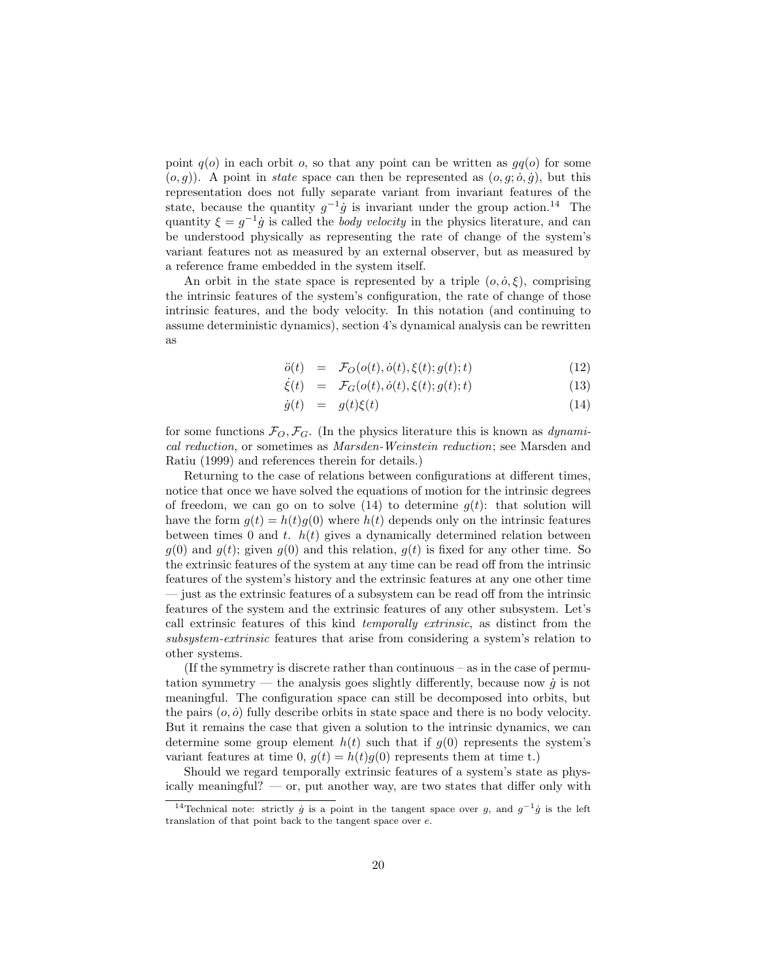point  $q(o)$  in each orbit o, so that any point can be written as  $qq(o)$  for some  $(o, g)$ ). A point in *state* space can then be represented as  $(o, g; \dot{o}, \dot{g})$ , but this representation does not fully separate variant from invariant features of the state, because the quantity  $g^{-1}\dot{g}$  is invariant under the group action.<sup>14</sup> The quantity  $\xi = g^{-1}\dot{g}$  is called the *body velocity* in the physics literature, and can be understood physically as representing the rate of change of the system's variant features not as measured by an external observer, but as measured by a reference frame embedded in the system itself.

An orbit in the state space is represented by a triple  $(o, \dot{o}, \xi)$ , comprising the intrinsic features of the system's configuration, the rate of change of those intrinsic features, and the body velocity. In this notation (and continuing to assume deterministic dynamics), section 4's dynamical analysis can be rewritten as

$$
\ddot{o}(t) = \mathcal{F}_O(o(t), \dot{o}(t), \xi(t); g(t); t) \tag{12}
$$

$$
\dot{\xi}(t) = \mathcal{F}_G(o(t), \dot{o}(t), \xi(t); g(t); t)
$$
\n(13)

$$
\dot{g}(t) = g(t)\xi(t) \tag{14}
$$

for some functions  $\mathcal{F}_O$ ,  $\mathcal{F}_G$ . (In the physics literature this is known as *dynami*cal reduction, or sometimes as Marsden-Weinstein reduction; see Marsden and Ratiu (1999) and references therein for details.)

Returning to the case of relations between configurations at different times, notice that once we have solved the equations of motion for the intrinsic degrees of freedom, we can go on to solve (14) to determine  $q(t)$ : that solution will have the form  $g(t) = h(t)g(0)$  where  $h(t)$  depends only on the intrinsic features between times 0 and t.  $h(t)$  gives a dynamically determined relation between  $g(0)$  and  $g(t)$ ; given  $g(0)$  and this relation,  $g(t)$  is fixed for any other time. So the extrinsic features of the system at any time can be read off from the intrinsic features of the system's history and the extrinsic features at any one other time — just as the extrinsic features of a subsystem can be read off from the intrinsic features of the system and the extrinsic features of any other subsystem. Let's call extrinsic features of this kind temporally extrinsic, as distinct from the subsystem-extrinsic features that arise from considering a system's relation to other systems.

(If the symmetry is discrete rather than continuous – as in the case of permutation symmetry — the analysis goes slightly differently, because now  $\dot{q}$  is not meaningful. The configuration space can still be decomposed into orbits, but the pairs  $(o, \dot{o})$  fully describe orbits in state space and there is no body velocity. But it remains the case that given a solution to the intrinsic dynamics, we can determine some group element  $h(t)$  such that if  $g(0)$  represents the system's variant features at time 0,  $q(t) = h(t)q(0)$  represents them at time t.)

Should we regard temporally extrinsic features of a system's state as physically meaningful? — or, put another way, are two states that differ only with

<sup>&</sup>lt;sup>14</sup>Technical note: strictly  $\dot{g}$  is a point in the tangent space over g, and  $g^{-1}\dot{g}$  is the left translation of that point back to the tangent space over e.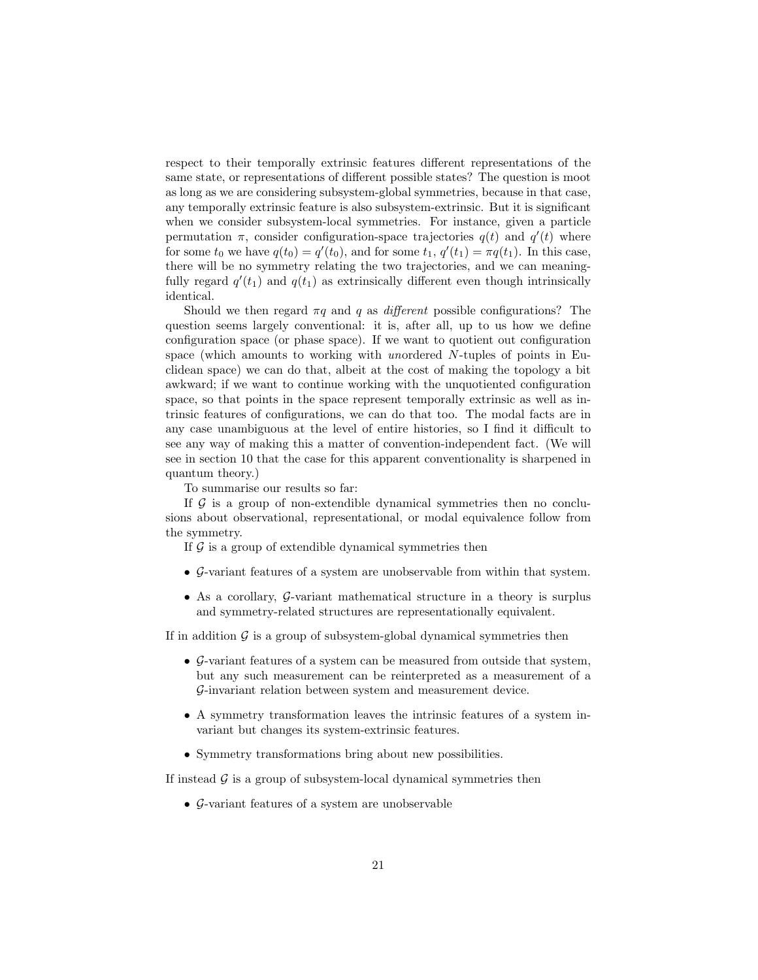respect to their temporally extrinsic features different representations of the same state, or representations of different possible states? The question is moot as long as we are considering subsystem-global symmetries, because in that case, any temporally extrinsic feature is also subsystem-extrinsic. But it is significant when we consider subsystem-local symmetries. For instance, given a particle permutation  $\pi$ , consider configuration-space trajectories  $q(t)$  and  $q'(t)$  where for some  $t_0$  we have  $q(t_0) = q'(t_0)$ , and for some  $t_1, q'(t_1) = \pi q(t_1)$ . In this case, there will be no symmetry relating the two trajectories, and we can meaningfully regard  $q'(t_1)$  and  $q(t_1)$  as extrinsically different even though intrinsically identical.

Should we then regard  $\pi q$  and q as *different* possible configurations? The question seems largely conventional: it is, after all, up to us how we define configuration space (or phase space). If we want to quotient out configuration space (which amounts to working with unordered N-tuples of points in Euclidean space) we can do that, albeit at the cost of making the topology a bit awkward; if we want to continue working with the unquotiented configuration space, so that points in the space represent temporally extrinsic as well as intrinsic features of configurations, we can do that too. The modal facts are in any case unambiguous at the level of entire histories, so I find it difficult to see any way of making this a matter of convention-independent fact. (We will see in section 10 that the case for this apparent conventionality is sharpened in quantum theory.)

To summarise our results so far:

If  $G$  is a group of non-extendible dynamical symmetries then no conclusions about observational, representational, or modal equivalence follow from the symmetry.

If  $\mathcal G$  is a group of extendible dynamical symmetries then

- G-variant features of a system are unobservable from within that system.
- As a corollary, G-variant mathematical structure in a theory is surplus and symmetry-related structures are representationally equivalent.

If in addition  $\mathcal G$  is a group of subsystem-global dynamical symmetries then

- G-variant features of a system can be measured from outside that system, but any such measurement can be reinterpreted as a measurement of a G-invariant relation between system and measurement device.
- A symmetry transformation leaves the intrinsic features of a system invariant but changes its system-extrinsic features.
- Symmetry transformations bring about new possibilities.

If instead  $\mathcal G$  is a group of subsystem-local dynamical symmetries then

• G-variant features of a system are unobservable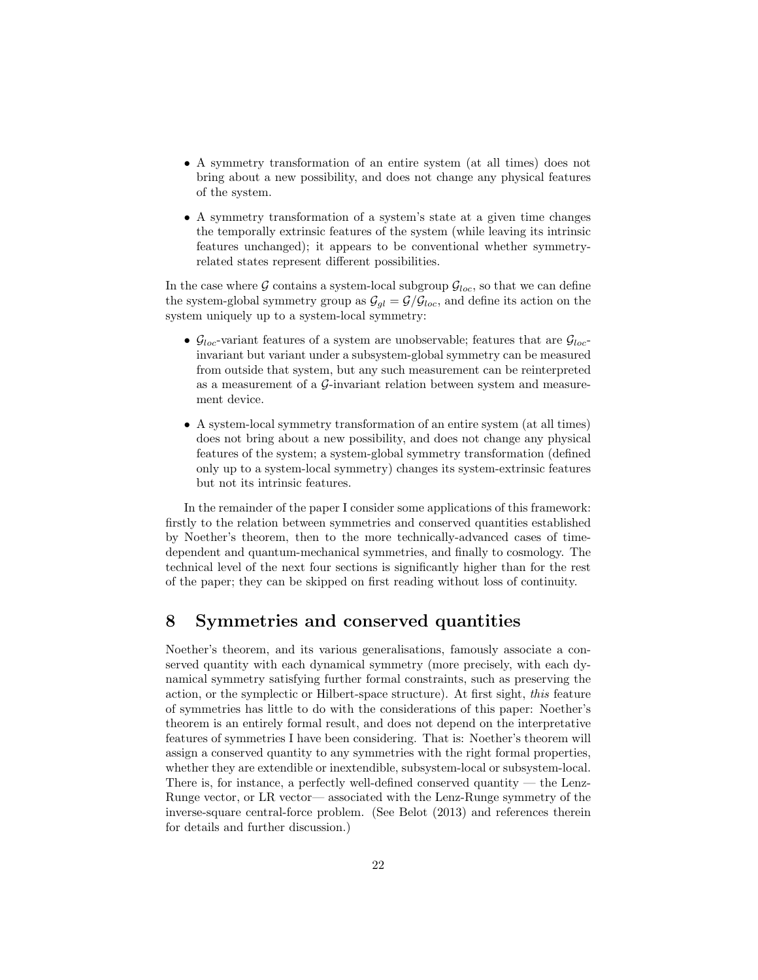- A symmetry transformation of an entire system (at all times) does not bring about a new possibility, and does not change any physical features of the system.
- A symmetry transformation of a system's state at a given time changes the temporally extrinsic features of the system (while leaving its intrinsic features unchanged); it appears to be conventional whether symmetryrelated states represent different possibilities.

In the case where G contains a system-local subgroup  $\mathcal{G}_{loc}$ , so that we can define the system-global symmetry group as  $\mathcal{G}_{ql} = \mathcal{G}/\mathcal{G}_{loc}$ , and define its action on the system uniquely up to a system-local symmetry:

- $\mathcal{G}_{loc}$ -variant features of a system are unobservable; features that are  $\mathcal{G}_{loc}$ invariant but variant under a subsystem-global symmetry can be measured from outside that system, but any such measurement can be reinterpreted as a measurement of a  $\mathcal{G}\text{-invariant relation between system and measure-}$ ment device.
- A system-local symmetry transformation of an entire system (at all times) does not bring about a new possibility, and does not change any physical features of the system; a system-global symmetry transformation (defined only up to a system-local symmetry) changes its system-extrinsic features but not its intrinsic features.

In the remainder of the paper I consider some applications of this framework: firstly to the relation between symmetries and conserved quantities established by Noether's theorem, then to the more technically-advanced cases of timedependent and quantum-mechanical symmetries, and finally to cosmology. The technical level of the next four sections is significantly higher than for the rest of the paper; they can be skipped on first reading without loss of continuity.

### 8 Symmetries and conserved quantities

Noether's theorem, and its various generalisations, famously associate a conserved quantity with each dynamical symmetry (more precisely, with each dynamical symmetry satisfying further formal constraints, such as preserving the action, or the symplectic or Hilbert-space structure). At first sight, this feature of symmetries has little to do with the considerations of this paper: Noether's theorem is an entirely formal result, and does not depend on the interpretative features of symmetries I have been considering. That is: Noether's theorem will assign a conserved quantity to any symmetries with the right formal properties, whether they are extendible or inextendible, subsystem-local or subsystem-local. There is, for instance, a perfectly well-defined conserved quantity — the Lenz-Runge vector, or LR vector— associated with the Lenz-Runge symmetry of the inverse-square central-force problem. (See Belot (2013) and references therein for details and further discussion.)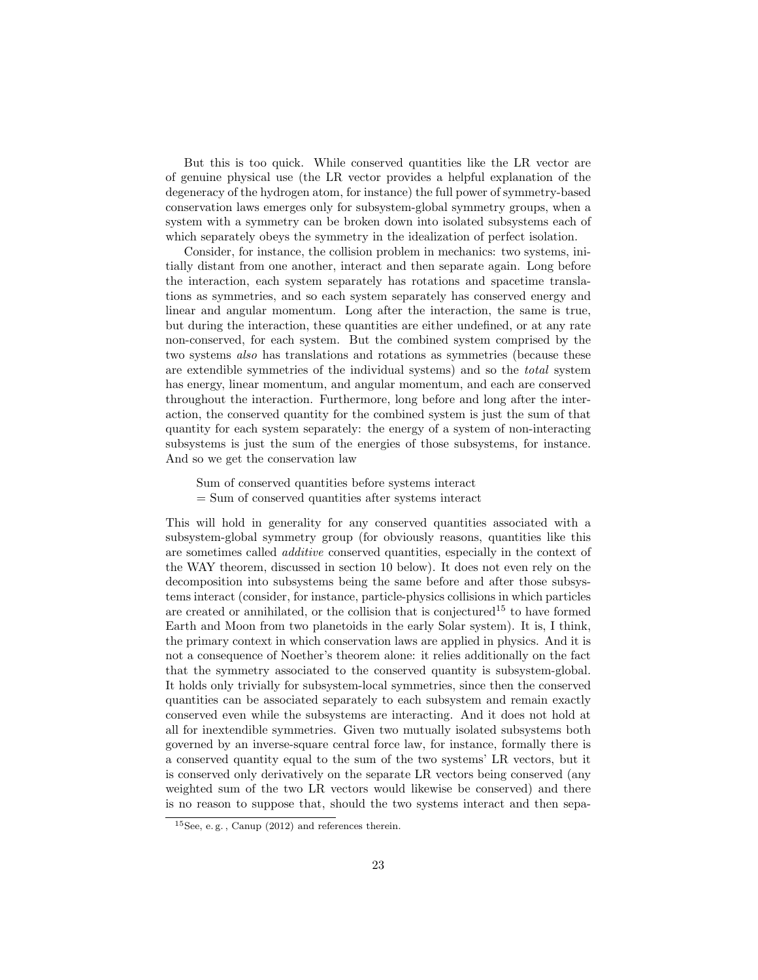But this is too quick. While conserved quantities like the LR vector are of genuine physical use (the LR vector provides a helpful explanation of the degeneracy of the hydrogen atom, for instance) the full power of symmetry-based conservation laws emerges only for subsystem-global symmetry groups, when a system with a symmetry can be broken down into isolated subsystems each of which separately obeys the symmetry in the idealization of perfect isolation.

Consider, for instance, the collision problem in mechanics: two systems, initially distant from one another, interact and then separate again. Long before the interaction, each system separately has rotations and spacetime translations as symmetries, and so each system separately has conserved energy and linear and angular momentum. Long after the interaction, the same is true, but during the interaction, these quantities are either undefined, or at any rate non-conserved, for each system. But the combined system comprised by the two systems also has translations and rotations as symmetries (because these are extendible symmetries of the individual systems) and so the total system has energy, linear momentum, and angular momentum, and each are conserved throughout the interaction. Furthermore, long before and long after the interaction, the conserved quantity for the combined system is just the sum of that quantity for each system separately: the energy of a system of non-interacting subsystems is just the sum of the energies of those subsystems, for instance. And so we get the conservation law

- Sum of conserved quantities before systems interact
- = Sum of conserved quantities after systems interact

This will hold in generality for any conserved quantities associated with a subsystem-global symmetry group (for obviously reasons, quantities like this are sometimes called additive conserved quantities, especially in the context of the WAY theorem, discussed in section 10 below). It does not even rely on the decomposition into subsystems being the same before and after those subsystems interact (consider, for instance, particle-physics collisions in which particles are created or annihilated, or the collision that is conjectured<sup>15</sup> to have formed Earth and Moon from two planetoids in the early Solar system). It is, I think, the primary context in which conservation laws are applied in physics. And it is not a consequence of Noether's theorem alone: it relies additionally on the fact that the symmetry associated to the conserved quantity is subsystem-global. It holds only trivially for subsystem-local symmetries, since then the conserved quantities can be associated separately to each subsystem and remain exactly conserved even while the subsystems are interacting. And it does not hold at all for inextendible symmetries. Given two mutually isolated subsystems both governed by an inverse-square central force law, for instance, formally there is a conserved quantity equal to the sum of the two systems' LR vectors, but it is conserved only derivatively on the separate LR vectors being conserved (any weighted sum of the two LR vectors would likewise be conserved) and there is no reason to suppose that, should the two systems interact and then sepa-

 $15$ See, e.g., Canup (2012) and references therein.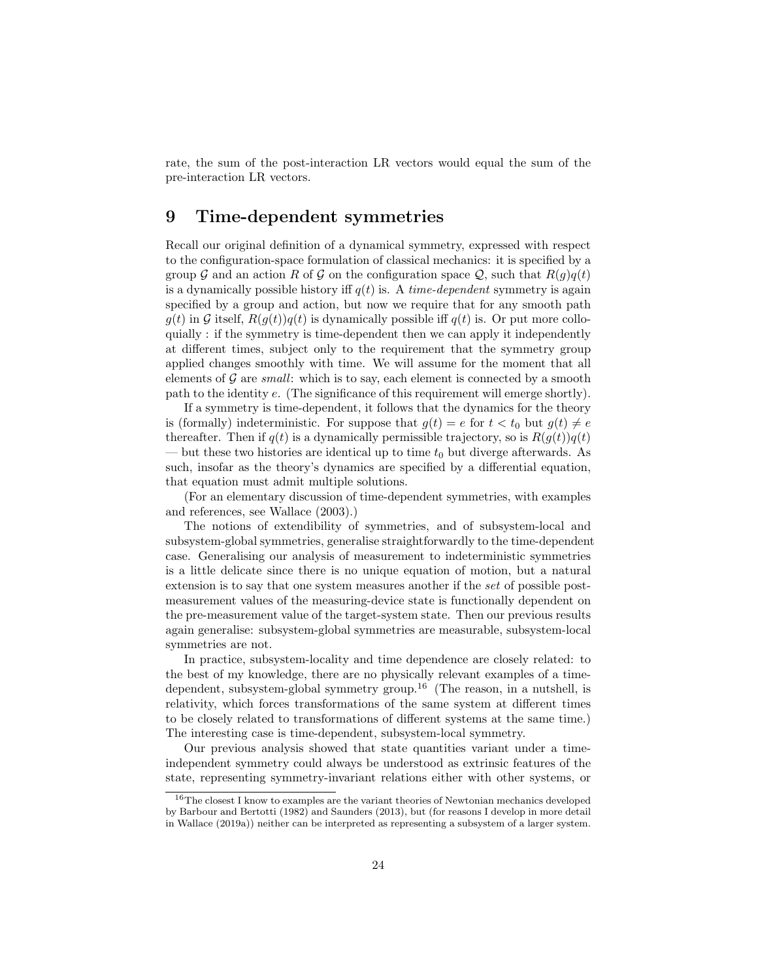rate, the sum of the post-interaction LR vectors would equal the sum of the pre-interaction LR vectors.

### 9 Time-dependent symmetries

Recall our original definition of a dynamical symmetry, expressed with respect to the configuration-space formulation of classical mechanics: it is specified by a group G and an action R of G on the configuration space Q, such that  $R(q)q(t)$ is a dynamically possible history iff  $q(t)$  is. A time-dependent symmetry is again specified by a group and action, but now we require that for any smooth path  $g(t)$  in G itself,  $R(g(t))g(t)$  is dynamically possible iff  $g(t)$  is. Or put more colloquially : if the symmetry is time-dependent then we can apply it independently at different times, subject only to the requirement that the symmetry group applied changes smoothly with time. We will assume for the moment that all elements of  $\mathcal G$  are *small*: which is to say, each element is connected by a smooth path to the identity e. (The significance of this requirement will emerge shortly).

If a symmetry is time-dependent, it follows that the dynamics for the theory is (formally) indeterministic. For suppose that  $g(t) = e$  for  $t < t_0$  but  $g(t) \neq e$ thereafter. Then if  $q(t)$  is a dynamically permissible trajectory, so is  $R(g(t))q(t)$ — but these two histories are identical up to time  $t_0$  but diverge afterwards. As such, insofar as the theory's dynamics are specified by a differential equation, that equation must admit multiple solutions.

(For an elementary discussion of time-dependent symmetries, with examples and references, see Wallace (2003).)

The notions of extendibility of symmetries, and of subsystem-local and subsystem-global symmetries, generalise straightforwardly to the time-dependent case. Generalising our analysis of measurement to indeterministic symmetries is a little delicate since there is no unique equation of motion, but a natural extension is to say that one system measures another if the set of possible postmeasurement values of the measuring-device state is functionally dependent on the pre-measurement value of the target-system state. Then our previous results again generalise: subsystem-global symmetries are measurable, subsystem-local symmetries are not.

In practice, subsystem-locality and time dependence are closely related: to the best of my knowledge, there are no physically relevant examples of a timedependent, subsystem-global symmetry group.<sup>16</sup> (The reason, in a nutshell, is relativity, which forces transformations of the same system at different times to be closely related to transformations of different systems at the same time.) The interesting case is time-dependent, subsystem-local symmetry.

Our previous analysis showed that state quantities variant under a timeindependent symmetry could always be understood as extrinsic features of the state, representing symmetry-invariant relations either with other systems, or

<sup>&</sup>lt;sup>16</sup>The closest I know to examples are the variant theories of Newtonian mechanics developed by Barbour and Bertotti (1982) and Saunders (2013), but (for reasons I develop in more detail in Wallace (2019a)) neither can be interpreted as representing a subsystem of a larger system.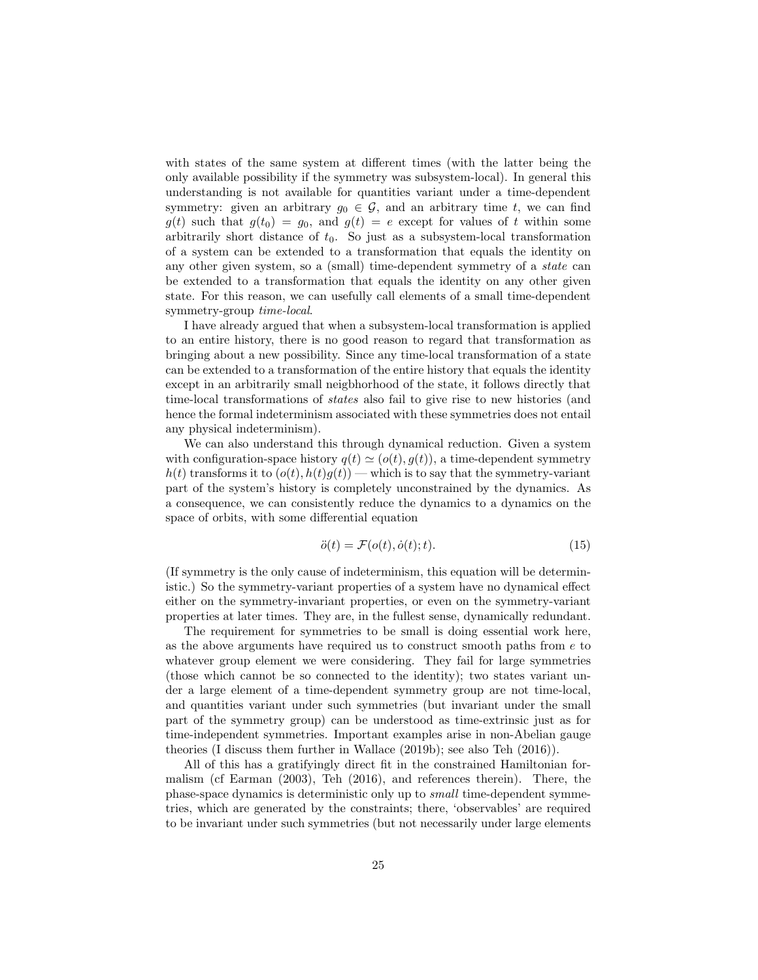with states of the same system at different times (with the latter being the only available possibility if the symmetry was subsystem-local). In general this understanding is not available for quantities variant under a time-dependent symmetry: given an arbitrary  $g_0 \in \mathcal{G}$ , and an arbitrary time t, we can find  $g(t)$  such that  $g(t_0) = g_0$ , and  $g(t) = e$  except for values of t within some arbitrarily short distance of  $t_0$ . So just as a subsystem-local transformation of a system can be extended to a transformation that equals the identity on any other given system, so a (small) time-dependent symmetry of a state can be extended to a transformation that equals the identity on any other given state. For this reason, we can usefully call elements of a small time-dependent symmetry-group time-local.

I have already argued that when a subsystem-local transformation is applied to an entire history, there is no good reason to regard that transformation as bringing about a new possibility. Since any time-local transformation of a state can be extended to a transformation of the entire history that equals the identity except in an arbitrarily small neigbhorhood of the state, it follows directly that time-local transformations of states also fail to give rise to new histories (and hence the formal indeterminism associated with these symmetries does not entail any physical indeterminism).

We can also understand this through dynamical reduction. Given a system with configuration-space history  $q(t) \simeq (o(t), q(t))$ , a time-dependent symmetry  $h(t)$  transforms it to  $(o(t), h(t)g(t))$  — which is to say that the symmetry-variant part of the system's history is completely unconstrained by the dynamics. As a consequence, we can consistently reduce the dynamics to a dynamics on the space of orbits, with some differential equation

$$
\ddot{o}(t) = \mathcal{F}(o(t), \dot{o}(t); t). \tag{15}
$$

(If symmetry is the only cause of indeterminism, this equation will be deterministic.) So the symmetry-variant properties of a system have no dynamical effect either on the symmetry-invariant properties, or even on the symmetry-variant properties at later times. They are, in the fullest sense, dynamically redundant.

The requirement for symmetries to be small is doing essential work here, as the above arguments have required us to construct smooth paths from  $e$  to whatever group element we were considering. They fail for large symmetries (those which cannot be so connected to the identity); two states variant under a large element of a time-dependent symmetry group are not time-local, and quantities variant under such symmetries (but invariant under the small part of the symmetry group) can be understood as time-extrinsic just as for time-independent symmetries. Important examples arise in non-Abelian gauge theories (I discuss them further in Wallace (2019b); see also Teh (2016)).

All of this has a gratifyingly direct fit in the constrained Hamiltonian formalism (cf Earman (2003), Teh (2016), and references therein). There, the phase-space dynamics is deterministic only up to small time-dependent symmetries, which are generated by the constraints; there, 'observables' are required to be invariant under such symmetries (but not necessarily under large elements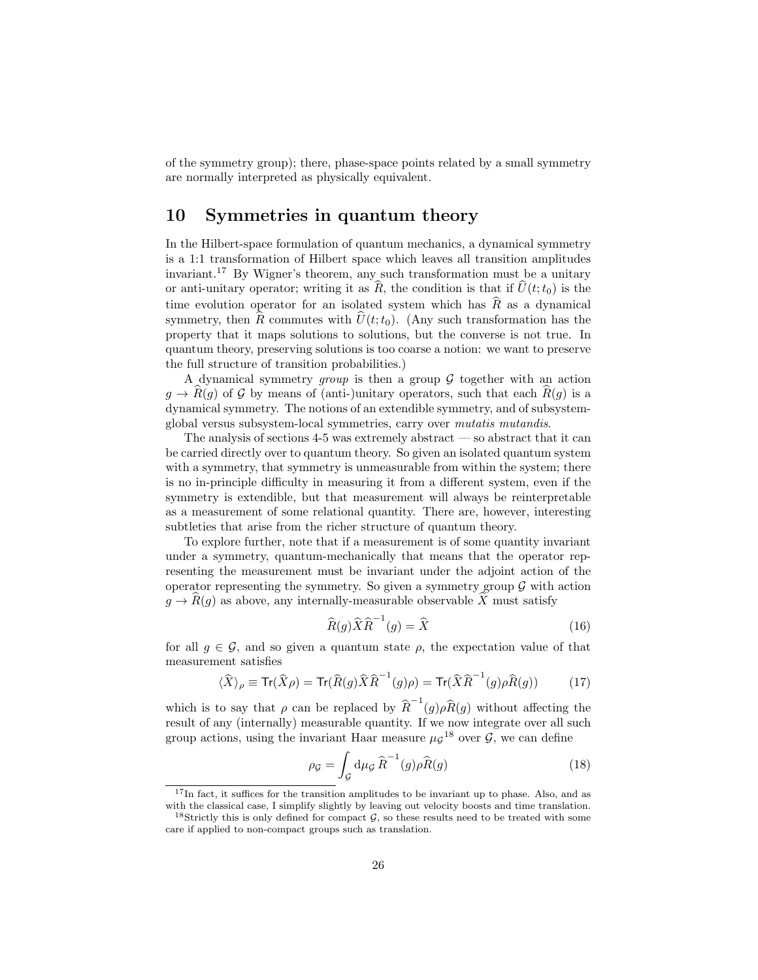of the symmetry group); there, phase-space points related by a small symmetry are normally interpreted as physically equivalent.

### 10 Symmetries in quantum theory

In the Hilbert-space formulation of quantum mechanics, a dynamical symmetry is a 1:1 transformation of Hilbert space which leaves all transition amplitudes invariant.<sup>17</sup> By Wigner's theorem, any such transformation must be a unitary or anti-unitary operator; writing it as  $\widehat{R}$ , the condition is that if  $\widehat{U}(t;t_0)$  is the time evolution operator for an isolated system which has  $\hat{R}$  as a dynamical symmetry, then  $\hat{R}$  commutes with  $\hat{U}(t;t_0)$ . (Any such transformation has the property that it maps solutions to solutions, but the converse is not true. In quantum theory, preserving solutions is too coarse a notion: we want to preserve the full structure of transition probabilities.)

A dynamical symmetry group is then a group  $G$  together with an action  $g \to R(g)$  of G by means of (anti-)unitary operators, such that each  $R(g)$  is a dynamical symmetry. The notions of an extendible symmetry, and of subsystemglobal versus subsystem-local symmetries, carry over mutatis mutandis.

The analysis of sections 4-5 was extremely abstract — so abstract that it can be carried directly over to quantum theory. So given an isolated quantum system with a symmetry, that symmetry is unmeasurable from within the system; there is no in-principle difficulty in measuring it from a different system, even if the symmetry is extendible, but that measurement will always be reinterpretable as a measurement of some relational quantity. There are, however, interesting subtleties that arise from the richer structure of quantum theory.

To explore further, note that if a measurement is of some quantity invariant under a symmetry, quantum-mechanically that means that the operator representing the measurement must be invariant under the adjoint action of the operator representing the symmetry. So given a symmetry group  $\mathcal G$  with action  $g \to \hat{R}(g)$  as above, any internally-measurable observable  $\hat{X}$  must satisfy

$$
\widehat{R}(g)\widehat{X}\widehat{R}^{-1}(g) = \widehat{X}
$$
\n(16)

for all  $g \in \mathcal{G}$ , and so given a quantum state  $\rho$ , the expectation value of that measurement satisfies

$$
\langle \widehat{X} \rangle_{\rho} \equiv \text{Tr}(\widehat{X}\rho) = \text{Tr}(\widehat{R}(g)\widehat{X}\widehat{R}^{-1}(g)\rho) = \text{Tr}(\widehat{X}\widehat{R}^{-1}(g)\rho \widehat{R}(g)) \tag{17}
$$

which is to say that  $\rho$  can be replaced by  $\hat{R}^{-1}(g)\rho \hat{R}(g)$  without affecting the result of any (internally) measurable quantity. If we now integrate over all such group actions, using the invariant Haar measure  $\mu_{\mathcal{G}}^{18}$  over  $\mathcal{G}$ , we can define

$$
\rho_{\mathcal{G}} = \int_{\mathcal{G}} d\mu_{\mathcal{G}} \,\widehat{R}^{-1}(g)\rho \widehat{R}(g) \tag{18}
$$

<sup>&</sup>lt;sup>17</sup>In fact, it suffices for the transition amplitudes to be invariant up to phase. Also, and as with the classical case, I simplify slightly by leaving out velocity boosts and time translation.

<sup>&</sup>lt;sup>18</sup>Strictly this is only defined for compact  $G$ , so these results need to be treated with some care if applied to non-compact groups such as translation.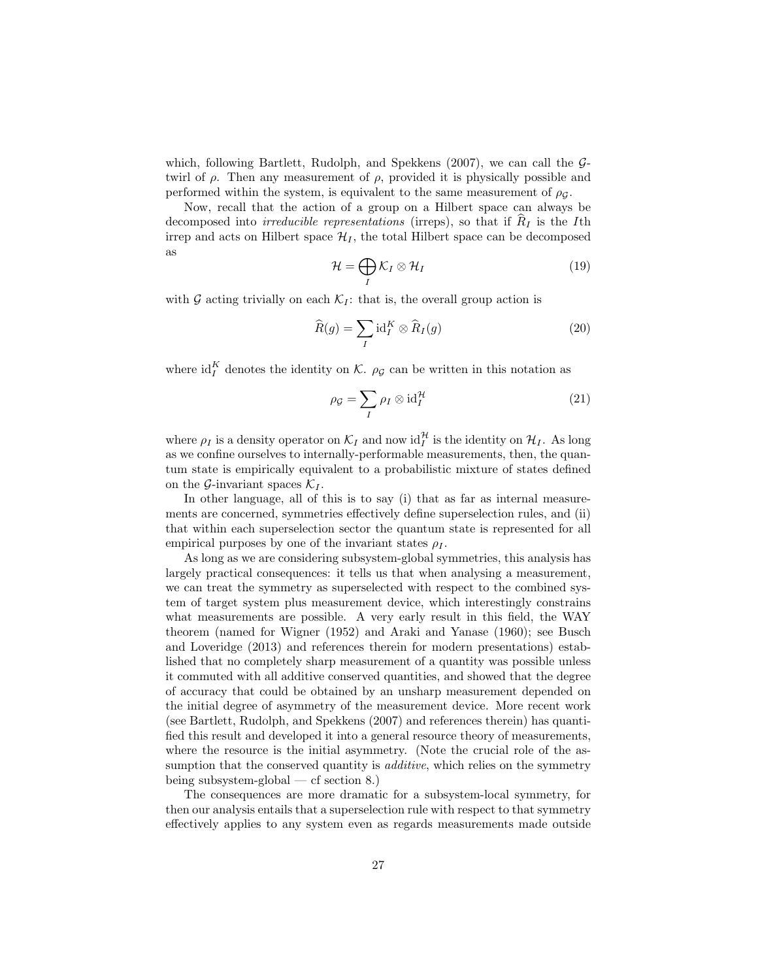which, following Bartlett, Rudolph, and Spekkens  $(2007)$ , we can call the  $\mathcal{G}$ twirl of  $\rho$ . Then any measurement of  $\rho$ , provided it is physically possible and performed within the system, is equivalent to the same measurement of  $\rho_G$ .

Now, recall that the action of a group on a Hilbert space can always be decomposed into *irreducible representations* (irreps), so that if  $R_I$  is the Ith irrep and acts on Hilbert space  $\mathcal{H}_I$ , the total Hilbert space can be decomposed as

$$
\mathcal{H} = \bigoplus_{I} \mathcal{K}_{I} \otimes \mathcal{H}_{I} \tag{19}
$$

with G acting trivially on each  $\mathcal{K}_I$ : that is, the overall group action is

$$
\widehat{R}(g) = \sum_{I} \mathrm{id}_{I}^{K} \otimes \widehat{R}_{I}(g) \tag{20}
$$

where  $\mathrm{id}_{I}^{K}$  denotes the identity on K.  $\rho_{\mathcal{G}}$  can be written in this notation as

$$
\rho_{\mathcal{G}} = \sum_{I} \rho_{I} \otimes \mathrm{id}_{I}^{\mathcal{H}} \tag{21}
$$

where  $\rho_I$  is a density operator on  $\mathcal{K}_I$  and now  $\mathrm{id}_I^{\mathcal{H}}$  is the identity on  $\mathcal{H}_I$ . As long as we confine ourselves to internally-performable measurements, then, the quantum state is empirically equivalent to a probabilistic mixture of states defined on the G-invariant spaces  $\mathcal{K}_I$ .

In other language, all of this is to say (i) that as far as internal measurements are concerned, symmetries effectively define superselection rules, and (ii) that within each superselection sector the quantum state is represented for all empirical purposes by one of the invariant states  $\rho_I$ .

As long as we are considering subsystem-global symmetries, this analysis has largely practical consequences: it tells us that when analysing a measurement, we can treat the symmetry as superselected with respect to the combined system of target system plus measurement device, which interestingly constrains what measurements are possible. A very early result in this field, the WAY theorem (named for Wigner (1952) and Araki and Yanase (1960); see Busch and Loveridge (2013) and references therein for modern presentations) established that no completely sharp measurement of a quantity was possible unless it commuted with all additive conserved quantities, and showed that the degree of accuracy that could be obtained by an unsharp measurement depended on the initial degree of asymmetry of the measurement device. More recent work (see Bartlett, Rudolph, and Spekkens (2007) and references therein) has quantified this result and developed it into a general resource theory of measurements, where the resource is the initial asymmetry. (Note the crucial role of the assumption that the conserved quantity is *additive*, which relies on the symmetry being subsystem-global — cf section 8.)

The consequences are more dramatic for a subsystem-local symmetry, for then our analysis entails that a superselection rule with respect to that symmetry effectively applies to any system even as regards measurements made outside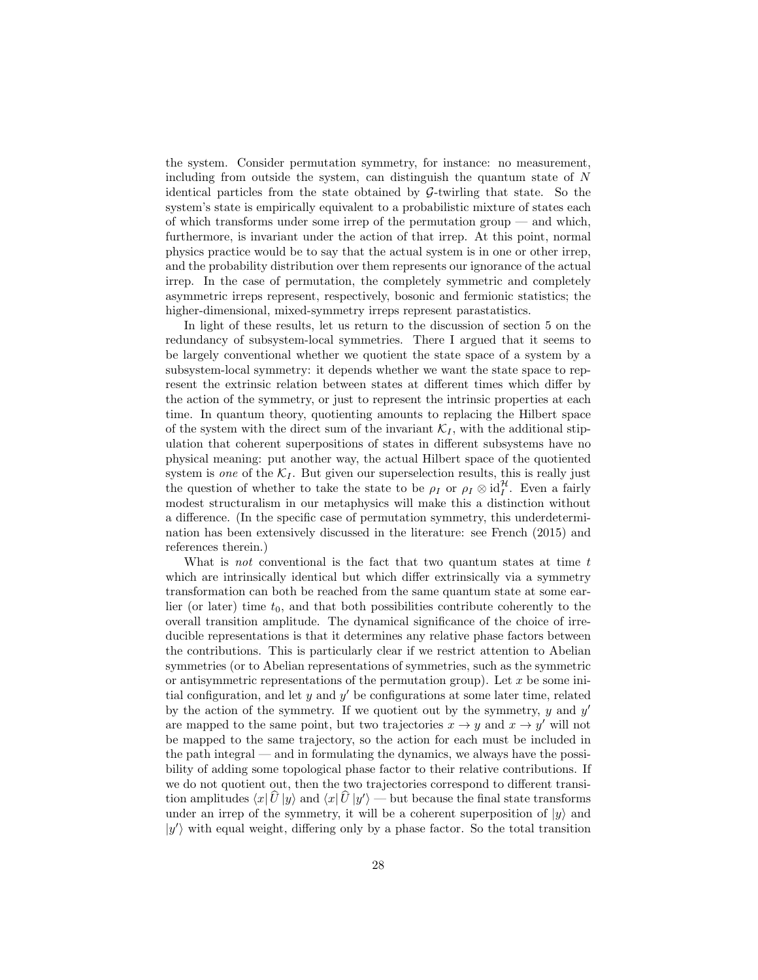the system. Consider permutation symmetry, for instance: no measurement, including from outside the system, can distinguish the quantum state of  $N$ identical particles from the state obtained by  $\mathcal{G}\text{-twirling}$  that state. So the system's state is empirically equivalent to a probabilistic mixture of states each of which transforms under some irrep of the permutation group  $-$  and which, furthermore, is invariant under the action of that irrep. At this point, normal physics practice would be to say that the actual system is in one or other irrep, and the probability distribution over them represents our ignorance of the actual irrep. In the case of permutation, the completely symmetric and completely asymmetric irreps represent, respectively, bosonic and fermionic statistics; the higher-dimensional, mixed-symmetry irreps represent parastatistics.

In light of these results, let us return to the discussion of section 5 on the redundancy of subsystem-local symmetries. There I argued that it seems to be largely conventional whether we quotient the state space of a system by a subsystem-local symmetry: it depends whether we want the state space to represent the extrinsic relation between states at different times which differ by the action of the symmetry, or just to represent the intrinsic properties at each time. In quantum theory, quotienting amounts to replacing the Hilbert space of the system with the direct sum of the invariant  $\mathcal{K}_I$ , with the additional stipulation that coherent superpositions of states in different subsystems have no physical meaning: put another way, the actual Hilbert space of the quotiented system is one of the  $\mathcal{K}_I$ . But given our superselection results, this is really just the question of whether to take the state to be  $\rho_I$  or  $\rho_I \otimes id_I^{\mathcal{H}}$ . Even a fairly modest structuralism in our metaphysics will make this a distinction without a difference. (In the specific case of permutation symmetry, this underdetermination has been extensively discussed in the literature: see French (2015) and references therein.)

What is not conventional is the fact that two quantum states at time  $t$ which are intrinsically identical but which differ extrinsically via a symmetry transformation can both be reached from the same quantum state at some earlier (or later) time  $t_0$ , and that both possibilities contribute coherently to the overall transition amplitude. The dynamical significance of the choice of irreducible representations is that it determines any relative phase factors between the contributions. This is particularly clear if we restrict attention to Abelian symmetries (or to Abelian representations of symmetries, such as the symmetric or antisymmetric representations of the permutation group). Let  $x$  be some initial configuration, and let  $y$  and  $y'$  be configurations at some later time, related by the action of the symmetry. If we quotient out by the symmetry,  $y$  and  $y'$ are mapped to the same point, but two trajectories  $x \to y$  and  $x \to y'$  will not be mapped to the same trajectory, so the action for each must be included in the path integral — and in formulating the dynamics, we always have the possibility of adding some topological phase factor to their relative contributions. If we do not quotient out, then the two trajectories correspond to different transition amplitudes  $\langle x|\hat{U}|y\rangle$  and  $\langle x|\hat{U}|y'\rangle$  — but because the final state transforms under an irrep of the symmetry, it will be a coherent superposition of  $|y\rangle$  and  $|y'\rangle$  with equal weight, differing only by a phase factor. So the total transition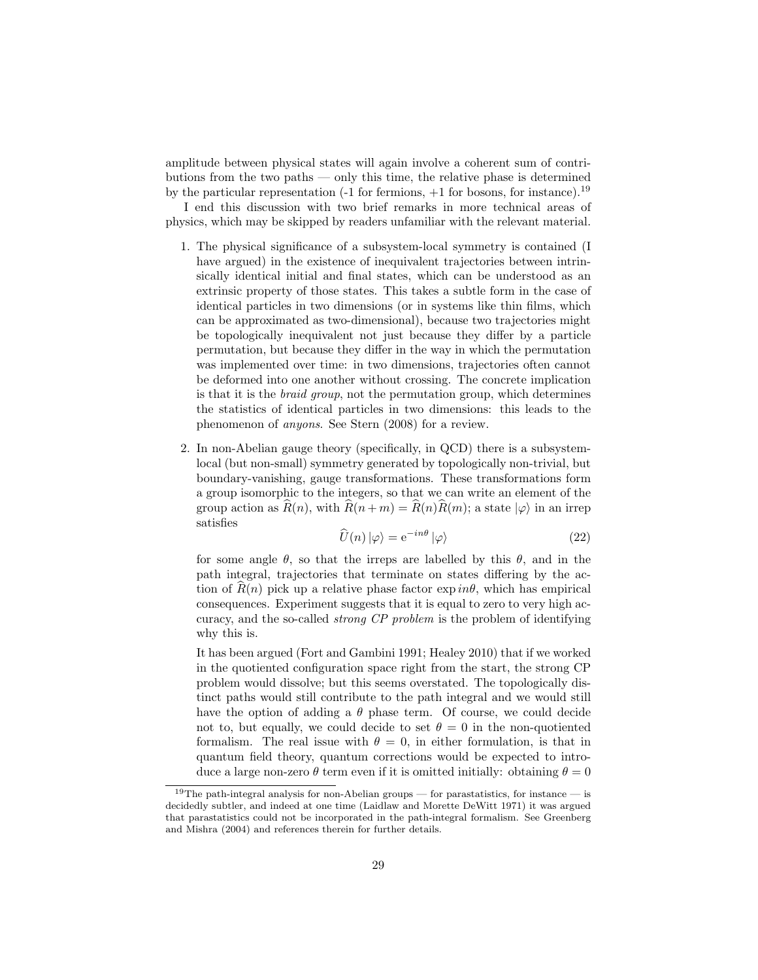amplitude between physical states will again involve a coherent sum of contributions from the two paths — only this time, the relative phase is determined by the particular representation  $(-1)$  for fermions,  $+1$  for bosons, for instance).<sup>19</sup>

I end this discussion with two brief remarks in more technical areas of physics, which may be skipped by readers unfamiliar with the relevant material.

- 1. The physical significance of a subsystem-local symmetry is contained (I have argued) in the existence of inequivalent trajectories between intrinsically identical initial and final states, which can be understood as an extrinsic property of those states. This takes a subtle form in the case of identical particles in two dimensions (or in systems like thin films, which can be approximated as two-dimensional), because two trajectories might be topologically inequivalent not just because they differ by a particle permutation, but because they differ in the way in which the permutation was implemented over time: in two dimensions, trajectories often cannot be deformed into one another without crossing. The concrete implication is that it is the braid group, not the permutation group, which determines the statistics of identical particles in two dimensions: this leads to the phenomenon of anyons. See Stern (2008) for a review.
- 2. In non-Abelian gauge theory (specifically, in QCD) there is a subsystemlocal (but non-small) symmetry generated by topologically non-trivial, but boundary-vanishing, gauge transformations. These transformations form a group isomorphic to the integers, so that we can write an element of the group action as  $R(n)$ , with  $R(n + m) = R(n)R(m)$ ; a state  $|\varphi\rangle$  in an irrep satisfies

$$
\widehat{U}(n) \left| \varphi \right\rangle = e^{-in\theta} \left| \varphi \right\rangle \tag{22}
$$

for some angle  $\theta$ , so that the irreps are labelled by this  $\theta$ , and in the path integral, trajectories that terminate on states differing by the action of  $R(n)$  pick up a relative phase factor  $\exp i n\theta$ , which has empirical consequences. Experiment suggests that it is equal to zero to very high accuracy, and the so-called strong CP problem is the problem of identifying why this is.

It has been argued (Fort and Gambini 1991; Healey 2010) that if we worked in the quotiented configuration space right from the start, the strong CP problem would dissolve; but this seems overstated. The topologically distinct paths would still contribute to the path integral and we would still have the option of adding a  $\theta$  phase term. Of course, we could decide not to, but equally, we could decide to set  $\theta = 0$  in the non-quotiented formalism. The real issue with  $\theta = 0$ , in either formulation, is that in quantum field theory, quantum corrections would be expected to introduce a large non-zero  $\theta$  term even if it is omitted initially: obtaining  $\theta = 0$ 

<sup>&</sup>lt;sup>19</sup>The path-integral analysis for non-Abelian groups — for parastatistics, for instance — is decidedly subtler, and indeed at one time (Laidlaw and Morette DeWitt 1971) it was argued that parastatistics could not be incorporated in the path-integral formalism. See Greenberg and Mishra (2004) and references therein for further details.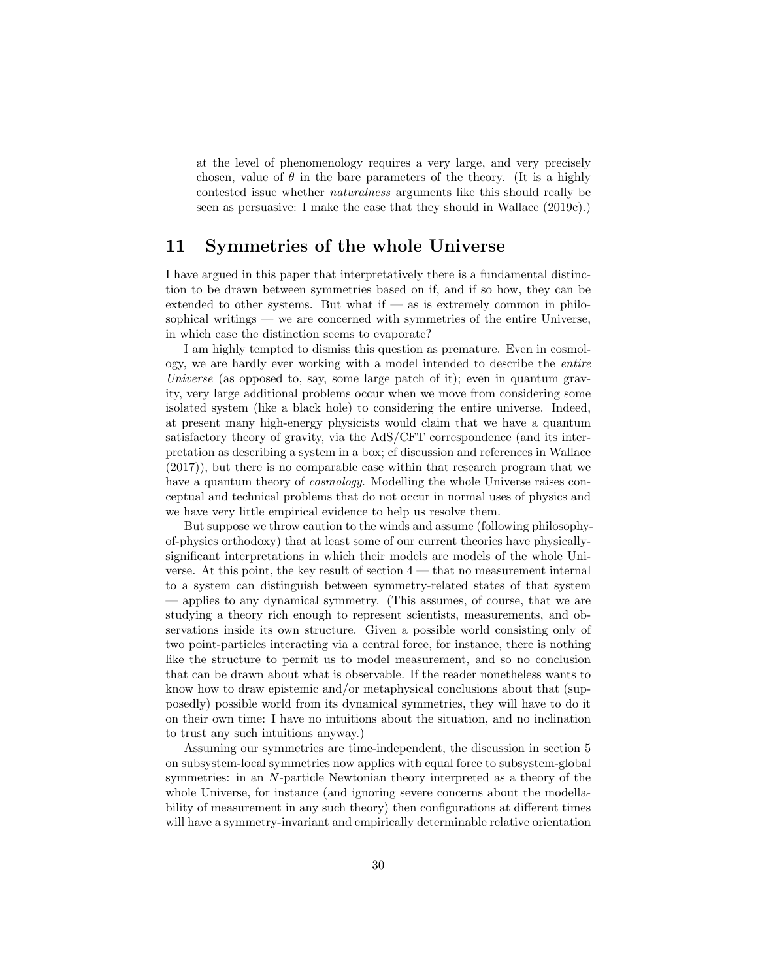at the level of phenomenology requires a very large, and very precisely chosen, value of  $\theta$  in the bare parameters of the theory. (It is a highly contested issue whether naturalness arguments like this should really be seen as persuasive: I make the case that they should in Wallace (2019c).)

### 11 Symmetries of the whole Universe

I have argued in this paper that interpretatively there is a fundamental distinction to be drawn between symmetries based on if, and if so how, they can be extended to other systems. But what if  $\frac{1}{x}$  as is extremely common in philosophical writings — we are concerned with symmetries of the entire Universe, in which case the distinction seems to evaporate?

I am highly tempted to dismiss this question as premature. Even in cosmology, we are hardly ever working with a model intended to describe the entire Universe (as opposed to, say, some large patch of it); even in quantum gravity, very large additional problems occur when we move from considering some isolated system (like a black hole) to considering the entire universe. Indeed, at present many high-energy physicists would claim that we have a quantum satisfactory theory of gravity, via the AdS/CFT correspondence (and its interpretation as describing a system in a box; cf discussion and references in Wallace (2017)), but there is no comparable case within that research program that we have a quantum theory of *cosmology*. Modelling the whole Universe raises conceptual and technical problems that do not occur in normal uses of physics and we have very little empirical evidence to help us resolve them.

But suppose we throw caution to the winds and assume (following philosophyof-physics orthodoxy) that at least some of our current theories have physicallysignificant interpretations in which their models are models of the whole Universe. At this point, the key result of section  $4$  — that no measurement internal to a system can distinguish between symmetry-related states of that system — applies to any dynamical symmetry. (This assumes, of course, that we are studying a theory rich enough to represent scientists, measurements, and observations inside its own structure. Given a possible world consisting only of two point-particles interacting via a central force, for instance, there is nothing like the structure to permit us to model measurement, and so no conclusion that can be drawn about what is observable. If the reader nonetheless wants to know how to draw epistemic and/or metaphysical conclusions about that (supposedly) possible world from its dynamical symmetries, they will have to do it on their own time: I have no intuitions about the situation, and no inclination to trust any such intuitions anyway.)

Assuming our symmetries are time-independent, the discussion in section 5 on subsystem-local symmetries now applies with equal force to subsystem-global symmetries: in an N-particle Newtonian theory interpreted as a theory of the whole Universe, for instance (and ignoring severe concerns about the modellability of measurement in any such theory) then configurations at different times will have a symmetry-invariant and empirically determinable relative orientation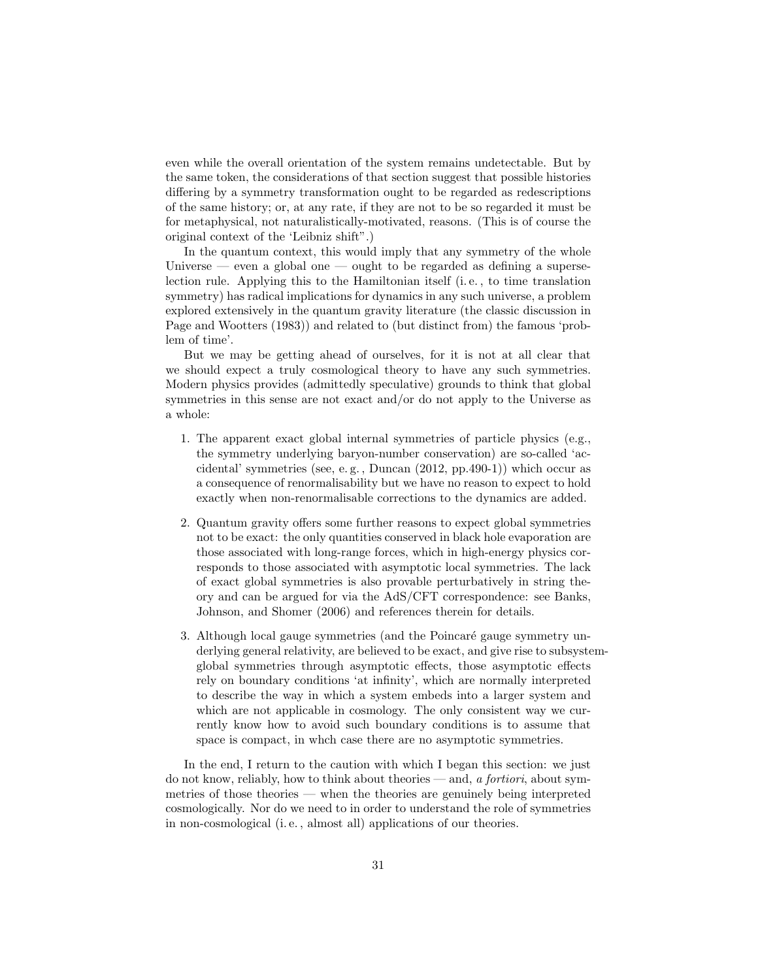even while the overall orientation of the system remains undetectable. But by the same token, the considerations of that section suggest that possible histories differing by a symmetry transformation ought to be regarded as redescriptions of the same history; or, at any rate, if they are not to be so regarded it must be for metaphysical, not naturalistically-motivated, reasons. (This is of course the original context of the 'Leibniz shift".)

In the quantum context, this would imply that any symmetry of the whole Universe — even a global one — ought to be regarded as defining a superselection rule. Applying this to the Hamiltonian itself (i. e. , to time translation symmetry) has radical implications for dynamics in any such universe, a problem explored extensively in the quantum gravity literature (the classic discussion in Page and Wootters (1983)) and related to (but distinct from) the famous 'problem of time'.

But we may be getting ahead of ourselves, for it is not at all clear that we should expect a truly cosmological theory to have any such symmetries. Modern physics provides (admittedly speculative) grounds to think that global symmetries in this sense are not exact and/or do not apply to the Universe as a whole:

- 1. The apparent exact global internal symmetries of particle physics (e.g., the symmetry underlying baryon-number conservation) are so-called 'accidental' symmetries (see, e. g. , Duncan (2012, pp.490-1)) which occur as a consequence of renormalisability but we have no reason to expect to hold exactly when non-renormalisable corrections to the dynamics are added.
- 2. Quantum gravity offers some further reasons to expect global symmetries not to be exact: the only quantities conserved in black hole evaporation are those associated with long-range forces, which in high-energy physics corresponds to those associated with asymptotic local symmetries. The lack of exact global symmetries is also provable perturbatively in string theory and can be argued for via the AdS/CFT correspondence: see Banks, Johnson, and Shomer (2006) and references therein for details.
- 3. Although local gauge symmetries (and the Poincaré gauge symmetry underlying general relativity, are believed to be exact, and give rise to subsystemglobal symmetries through asymptotic effects, those asymptotic effects rely on boundary conditions 'at infinity', which are normally interpreted to describe the way in which a system embeds into a larger system and which are not applicable in cosmology. The only consistent way we currently know how to avoid such boundary conditions is to assume that space is compact, in whch case there are no asymptotic symmetries.

In the end, I return to the caution with which I began this section: we just do not know, reliably, how to think about theories — and, a fortiori, about symmetries of those theories — when the theories are genuinely being interpreted cosmologically. Nor do we need to in order to understand the role of symmetries in non-cosmological (i. e. , almost all) applications of our theories.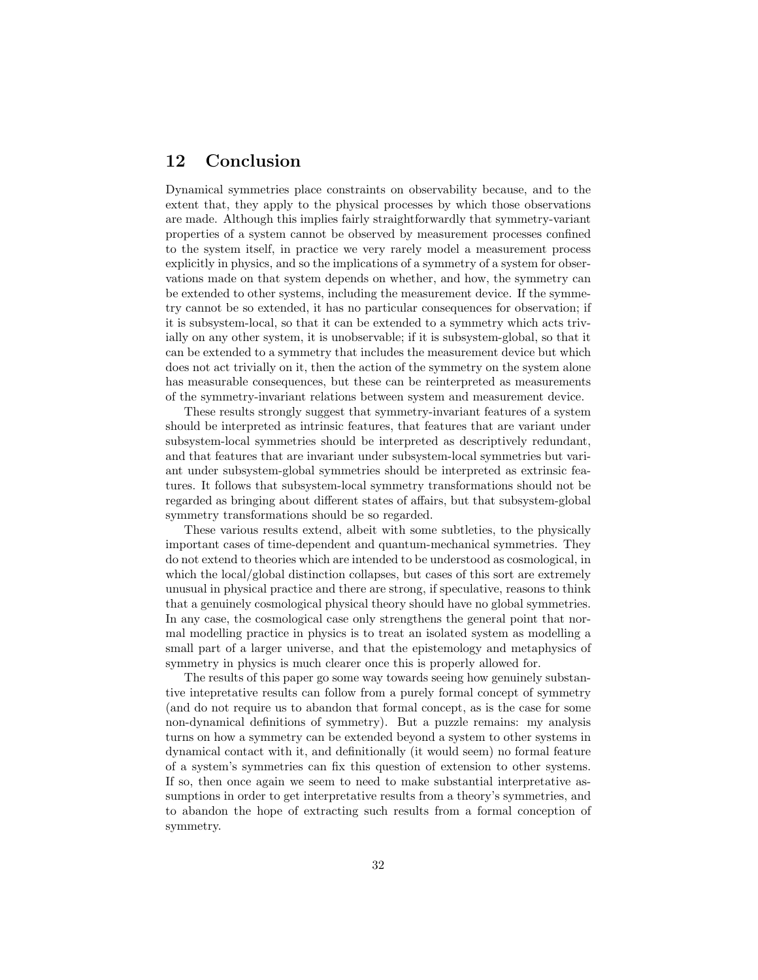### 12 Conclusion

Dynamical symmetries place constraints on observability because, and to the extent that, they apply to the physical processes by which those observations are made. Although this implies fairly straightforwardly that symmetry-variant properties of a system cannot be observed by measurement processes confined to the system itself, in practice we very rarely model a measurement process explicitly in physics, and so the implications of a symmetry of a system for observations made on that system depends on whether, and how, the symmetry can be extended to other systems, including the measurement device. If the symmetry cannot be so extended, it has no particular consequences for observation; if it is subsystem-local, so that it can be extended to a symmetry which acts trivially on any other system, it is unobservable; if it is subsystem-global, so that it can be extended to a symmetry that includes the measurement device but which does not act trivially on it, then the action of the symmetry on the system alone has measurable consequences, but these can be reinterpreted as measurements of the symmetry-invariant relations between system and measurement device.

These results strongly suggest that symmetry-invariant features of a system should be interpreted as intrinsic features, that features that are variant under subsystem-local symmetries should be interpreted as descriptively redundant, and that features that are invariant under subsystem-local symmetries but variant under subsystem-global symmetries should be interpreted as extrinsic features. It follows that subsystem-local symmetry transformations should not be regarded as bringing about different states of affairs, but that subsystem-global symmetry transformations should be so regarded.

These various results extend, albeit with some subtleties, to the physically important cases of time-dependent and quantum-mechanical symmetries. They do not extend to theories which are intended to be understood as cosmological, in which the local/global distinction collapses, but cases of this sort are extremely unusual in physical practice and there are strong, if speculative, reasons to think that a genuinely cosmological physical theory should have no global symmetries. In any case, the cosmological case only strengthens the general point that normal modelling practice in physics is to treat an isolated system as modelling a small part of a larger universe, and that the epistemology and metaphysics of symmetry in physics is much clearer once this is properly allowed for.

The results of this paper go some way towards seeing how genuinely substantive intepretative results can follow from a purely formal concept of symmetry (and do not require us to abandon that formal concept, as is the case for some non-dynamical definitions of symmetry). But a puzzle remains: my analysis turns on how a symmetry can be extended beyond a system to other systems in dynamical contact with it, and definitionally (it would seem) no formal feature of a system's symmetries can fix this question of extension to other systems. If so, then once again we seem to need to make substantial interpretative assumptions in order to get interpretative results from a theory's symmetries, and to abandon the hope of extracting such results from a formal conception of symmetry.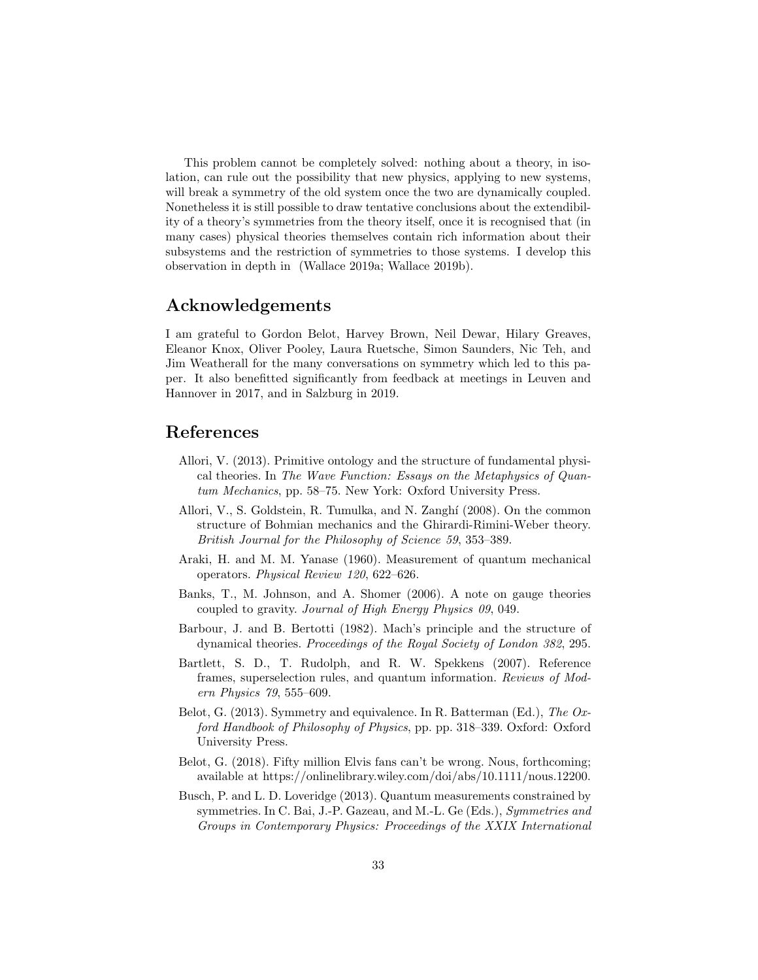This problem cannot be completely solved: nothing about a theory, in isolation, can rule out the possibility that new physics, applying to new systems, will break a symmetry of the old system once the two are dynamically coupled. Nonetheless it is still possible to draw tentative conclusions about the extendibility of a theory's symmetries from the theory itself, once it is recognised that (in many cases) physical theories themselves contain rich information about their subsystems and the restriction of symmetries to those systems. I develop this observation in depth in (Wallace 2019a; Wallace 2019b).

### Acknowledgements

I am grateful to Gordon Belot, Harvey Brown, Neil Dewar, Hilary Greaves, Eleanor Knox, Oliver Pooley, Laura Ruetsche, Simon Saunders, Nic Teh, and Jim Weatherall for the many conversations on symmetry which led to this paper. It also benefitted significantly from feedback at meetings in Leuven and Hannover in 2017, and in Salzburg in 2019.

### References

- Allori, V. (2013). Primitive ontology and the structure of fundamental physical theories. In The Wave Function: Essays on the Metaphysics of Quantum Mechanics, pp. 58–75. New York: Oxford University Press.
- Allori, V., S. Goldstein, R. Tumulka, and N. Zanghí (2008). On the common structure of Bohmian mechanics and the Ghirardi-Rimini-Weber theory. British Journal for the Philosophy of Science 59, 353–389.
- Araki, H. and M. M. Yanase (1960). Measurement of quantum mechanical operators. Physical Review 120, 622–626.
- Banks, T., M. Johnson, and A. Shomer (2006). A note on gauge theories coupled to gravity. Journal of High Energy Physics 09, 049.
- Barbour, J. and B. Bertotti (1982). Mach's principle and the structure of dynamical theories. Proceedings of the Royal Society of London 382, 295.
- Bartlett, S. D., T. Rudolph, and R. W. Spekkens (2007). Reference frames, superselection rules, and quantum information. Reviews of Modern Physics 79, 555–609.
- Belot, G. (2013). Symmetry and equivalence. In R. Batterman (Ed.), The Oxford Handbook of Philosophy of Physics, pp. pp. 318–339. Oxford: Oxford University Press.
- Belot, G. (2018). Fifty million Elvis fans can't be wrong. Nous, forthcoming; available at https://onlinelibrary.wiley.com/doi/abs/10.1111/nous.12200.
- Busch, P. and L. D. Loveridge (2013). Quantum measurements constrained by symmetries. In C. Bai, J.-P. Gazeau, and M.-L. Ge (Eds.), Symmetries and Groups in Contemporary Physics: Proceedings of the XXIX International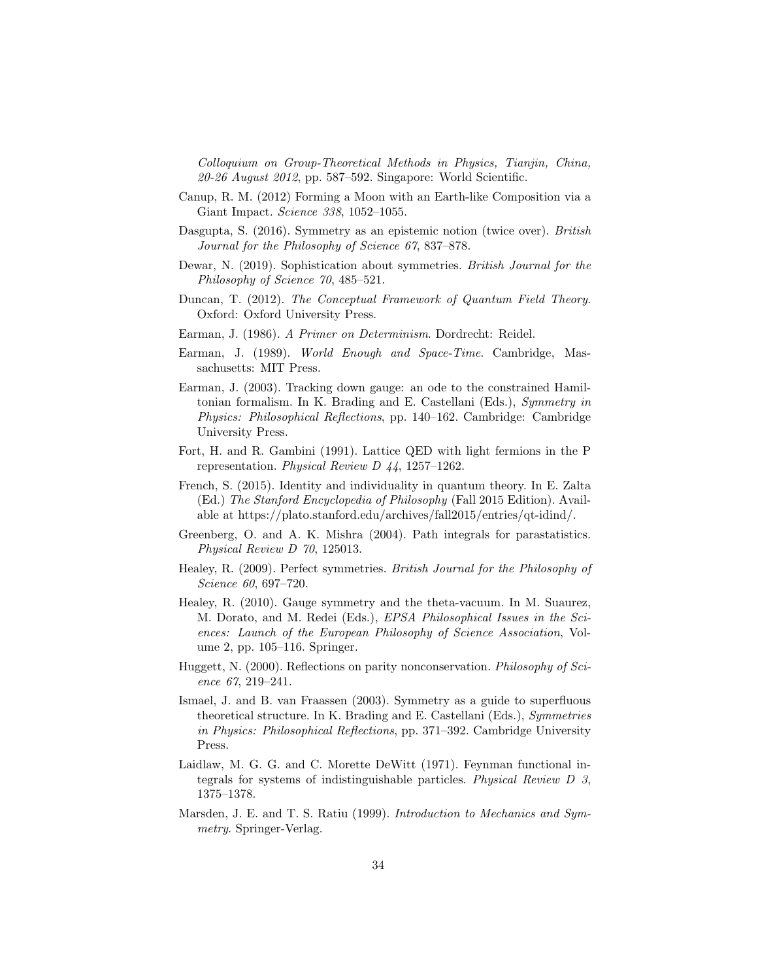Colloquium on Group-Theoretical Methods in Physics, Tianjin, China, 20-26 August 2012, pp. 587–592. Singapore: World Scientific.

- Canup, R. M. (2012) Forming a Moon with an Earth-like Composition via a Giant Impact. Science 338, 1052–1055.
- Dasgupta, S. (2016). Symmetry as an epistemic notion (twice over). British Journal for the Philosophy of Science 67, 837–878.
- Dewar, N. (2019). Sophistication about symmetries. British Journal for the Philosophy of Science 70, 485–521.
- Duncan, T. (2012). The Conceptual Framework of Quantum Field Theory. Oxford: Oxford University Press.
- Earman, J. (1986). A Primer on Determinism. Dordrecht: Reidel.
- Earman, J. (1989). World Enough and Space-Time. Cambridge, Massachusetts: MIT Press.
- Earman, J. (2003). Tracking down gauge: an ode to the constrained Hamiltonian formalism. In K. Brading and E. Castellani (Eds.), Symmetry in Physics: Philosophical Reflections, pp. 140–162. Cambridge: Cambridge University Press.
- Fort, H. and R. Gambini (1991). Lattice QED with light fermions in the P representation. Physical Review D 44, 1257–1262.
- French, S. (2015). Identity and individuality in quantum theory. In E. Zalta (Ed.) The Stanford Encyclopedia of Philosophy (Fall 2015 Edition). Available at https://plato.stanford.edu/archives/fall2015/entries/qt-idind/.
- Greenberg, O. and A. K. Mishra (2004). Path integrals for parastatistics. Physical Review D 70, 125013.
- Healey, R. (2009). Perfect symmetries. British Journal for the Philosophy of Science 60, 697–720.
- Healey, R. (2010). Gauge symmetry and the theta-vacuum. In M. Suaurez, M. Dorato, and M. Redei (Eds.), EPSA Philosophical Issues in the Sciences: Launch of the European Philosophy of Science Association, Volume 2, pp. 105–116. Springer.
- Huggett, N. (2000). Reflections on parity nonconservation. Philosophy of Science 67, 219–241.
- Ismael, J. and B. van Fraassen (2003). Symmetry as a guide to superfluous theoretical structure. In K. Brading and E. Castellani (Eds.), Symmetries in Physics: Philosophical Reflections, pp. 371–392. Cambridge University Press.
- Laidlaw, M. G. G. and C. Morette DeWitt (1971). Feynman functional integrals for systems of indistinguishable particles. Physical Review D 3, 1375–1378.
- Marsden, J. E. and T. S. Ratiu (1999). Introduction to Mechanics and Symmetry. Springer-Verlag.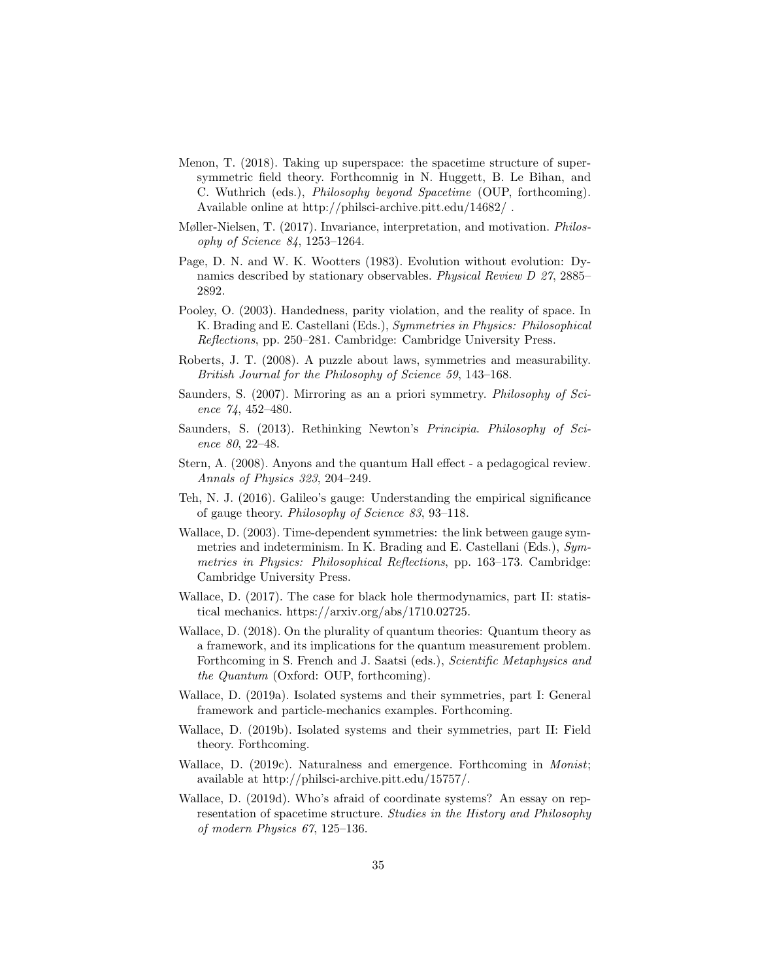- Menon, T. (2018). Taking up superspace: the spacetime structure of supersymmetric field theory. Forthcomnig in N. Huggett, B. Le Bihan, and C. Wuthrich (eds.), Philosophy beyond Spacetime (OUP, forthcoming). Available online at http://philsci-archive.pitt.edu/14682/ .
- Møller-Nielsen, T. (2017). Invariance, interpretation, and motivation. Philosophy of Science 84, 1253–1264.
- Page, D. N. and W. K. Wootters (1983). Evolution without evolution: Dynamics described by stationary observables. Physical Review D 27, 2885– 2892.
- Pooley, O. (2003). Handedness, parity violation, and the reality of space. In K. Brading and E. Castellani (Eds.), Symmetries in Physics: Philosophical Reflections, pp. 250–281. Cambridge: Cambridge University Press.
- Roberts, J. T. (2008). A puzzle about laws, symmetries and measurability. British Journal for the Philosophy of Science 59, 143–168.
- Saunders, S. (2007). Mirroring as an a priori symmetry. Philosophy of Science 74, 452–480.
- Saunders, S. (2013). Rethinking Newton's Principia. Philosophy of Science 80, 22–48.
- Stern, A. (2008). Anyons and the quantum Hall effect a pedagogical review. Annals of Physics 323, 204–249.
- Teh, N. J. (2016). Galileo's gauge: Understanding the empirical significance of gauge theory. Philosophy of Science 83, 93–118.
- Wallace, D. (2003). Time-dependent symmetries: the link between gauge symmetries and indeterminism. In K. Brading and E. Castellani (Eds.), Symmetries in Physics: Philosophical Reflections, pp. 163–173. Cambridge: Cambridge University Press.
- Wallace, D. (2017). The case for black hole thermodynamics, part II: statistical mechanics. https://arxiv.org/abs/1710.02725.
- Wallace, D. (2018). On the plurality of quantum theories: Quantum theory as a framework, and its implications for the quantum measurement problem. Forthcoming in S. French and J. Saatsi (eds.), Scientific Metaphysics and the Quantum (Oxford: OUP, forthcoming).
- Wallace, D. (2019a). Isolated systems and their symmetries, part I: General framework and particle-mechanics examples. Forthcoming.
- Wallace, D. (2019b). Isolated systems and their symmetries, part II: Field theory. Forthcoming.
- Wallace, D. (2019c). Naturalness and emergence. Forthcoming in Monist; available at http://philsci-archive.pitt.edu/15757/.
- Wallace, D. (2019d). Who's afraid of coordinate systems? An essay on representation of spacetime structure. Studies in the History and Philosophy of modern Physics 67, 125–136.